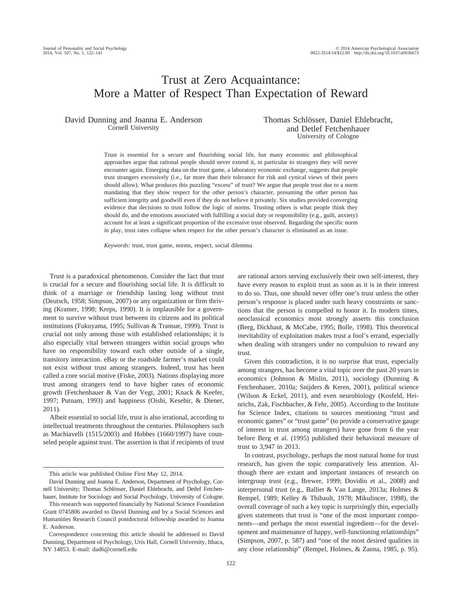# Trust at Zero Acquaintance: More a Matter of Respect Than Expectation of Reward

David Dunning and Joanna E. Anderson Cornell University

Thomas Schlösser, Daniel Ehlebracht, and Detlef Fetchenhauer University of Cologne

Trust is essential for a secure and flourishing social life, but many economic and philosophical approaches argue that rational people should never extend it, in particular to strangers they will never encounter again. Emerging data on the trust game, a laboratory economic exchange, suggests that people trust strangers excessively (i.e., far more than their tolerance for risk and cynical views of their peers should allow). What produces this puzzling "excess" of trust? We argue that people trust due to a norm mandating that they show respect for the other person's character, presuming the other person has sufficient integrity and goodwill even if they do not believe it privately. Six studies provided converging evidence that decisions to trust follow the logic of norms. Trusting others is what people think they should do, and the emotions associated with fulfilling a social duty or responsibility (e.g., guilt, anxiety) account for at least a significant proportion of the excessive trust observed. Regarding the specific norm in play, trust rates collapse when respect for the other person's character is eliminated as an issue.

*Keywords:* trust, trust game, norms, respect, social dilemma

Trust is a paradoxical phenomenon. Consider the fact that trust is crucial for a secure and flourishing social life. It is difficult to think of a marriage or friendship lasting long without trust (Deutsch, 1958; Simpson, 2007) or any organization or firm thriving (Kramer, 1998; Kreps, 1990). It is implausible for a government to survive without trust between its citizens and its political institutions (Fukuyama, 1995; Sullivan & Transue, 1999). Trust is crucial not only among those with established relationships; it is also especially vital between strangers within social groups who have no responsibility toward each other outside of a single, transitory interaction. eBay or the roadside farmer's market could not exist without trust among strangers. Indeed, trust has been called a core social motive (Fiske, 2003). Nations displaying more trust among strangers tend to have higher rates of economic growth (Fetchenhauer & Van der Vegt, 2001; Knack & Keefer, 1997; Putnam, 1993) and happiness (Oishi, Kesebir, & Diener, 2011).

Albeit essential to social life, trust is also irrational, according to intellectual treatments throughout the centuries. Philosophers such as Machiavelli (1515/2003) and Hobbes (1660/1997) have counseled people against trust. The assertion is that if recipients of trust

David Dunning and Joanna E. Anderson, Department of Psychology, Cornell University; Thomas Schlösser, Daniel Ehlebracht, and Detlef Fetchenhauer, Institute for Sociology and Social Psychology, University of Cologne. are rational actors serving exclusively their own self-interest, they have every reason to exploit trust as soon as it is in their interest to do so. Thus, one should never offer one's trust unless the other person's response is placed under such heavy constraints or sanctions that the person is compelled to honor it. In modern times, neoclassical economics most strongly asserts this conclusion (Berg, Dickhaut, & McCabe, 1995; Bolle, 1998). This theoretical inevitability of exploitation makes trust a fool's errand, especially when dealing with strangers under no compulsion to reward any trust.

Given this contradiction, it is no surprise that trust, especially among strangers, has become a vital topic over the past 20 years in economics (Johnson & Mislin, 2011), sociology (Dunning & Fetchenhauer, 2010a; Snijders & Keren, 2001), political science (Wilson & Eckel, 2011), and even neurobiology (Kosfeld, Heinrichs, Zak, Fischbacher, & Fehr, 2005). According to the Institute for Science Index, citations to sources mentioning "trust and economic games" or "trust game" (to provide a conservative gauge of interest in trust among strangers) have gone from 6 the year before Berg et al. (1995) published their behavioral measure of trust to 3,947 in 2013.

In contrast, psychology, perhaps the most natural home for trust research, has given the topic comparatively less attention. Although there are extant and important instances of research on intergroup trust (e.g., Brewer, 1999; Dovidio et al., 2008) and interpersonal trust (e.g., Balliet & Van Lange, 2013a; Holmes & Rempel, 1989; Kelley & Thibault, 1978; Mikulincer, 1998), the overall coverage of such a key topic is surprisingly thin, especially given statements that trust is "one of the most important components—and perhaps the most essential ingredient—for the development and maintenance of happy, well-functioning relationships" (Simpson, 2007, p. 587) and "one of the most desired qualities in any close relationship" (Rempel, Holmes, & Zanna, 1985, p. 95).

This article was published Online First May 12, 2014.

This research was supported financially by National Science Foundation Grant 0745806 awarded to David Dunning and by a Social Sciences and Humanities Research Council postdoctoral fellowship awarded to Joanna E. Anderson.

Correspondence concerning this article should be addressed to David Dunning, Department of Psychology, Uris Hall, Cornell University, Ithaca, NY 14853. E-mail: [dad6@cornell.edu](mailto:dad6@cornell.edu)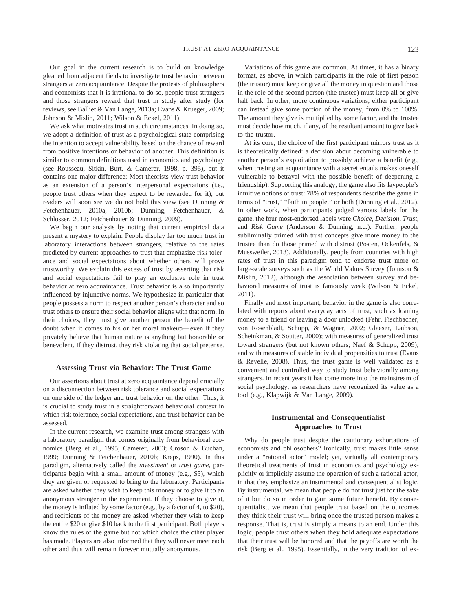Our goal in the current research is to build on knowledge gleaned from adjacent fields to investigate trust behavior between strangers at zero acquaintance. Despite the protests of philosophers and economists that it is irrational to do so, people trust strangers and those strangers reward that trust in study after study (for reviews, see Balliet & Van Lange, 2013a; Evans & Krueger, 2009; Johnson & Mislin, 2011; Wilson & Eckel, 2011).

We ask what motivates trust in such circumstances. In doing so, we adopt a definition of trust as a psychological state comprising the intention to accept vulnerability based on the chance of reward from positive intentions or behavior of another. This definition is similar to common definitions used in economics and psychology (see Rousseau, Sitkin, Burt, & Camerer, 1998, p. 395), but it contains one major difference: Most theorists view trust behavior as an extension of a person's interpersonal expectations (i.e., people trust others when they expect to be rewarded for it), but readers will soon see we do not hold this view (see Dunning & Fetchenhauer, 2010a, 2010b; Dunning, Fetchenhauer, & Schlösser, 2012; Fetchenhauer & Dunning, 2009).

We begin our analysis by noting that current empirical data present a mystery to explain: People display far too much trust in laboratory interactions between strangers, relative to the rates predicted by current approaches to trust that emphasize risk tolerance and social expectations about whether others will prove trustworthy. We explain this excess of trust by asserting that risk and social expectations fail to play an exclusive role in trust behavior at zero acquaintance. Trust behavior is also importantly influenced by injunctive norms. We hypothesize in particular that people possess a norm to respect another person's character and so trust others to ensure their social behavior aligns with that norm. In their choices, they must give another person the benefit of the doubt when it comes to his or her moral makeup— even if they privately believe that human nature is anything but honorable or benevolent. If they distrust, they risk violating that social pretense.

## **Assessing Trust via Behavior: The Trust Game**

Our assertions about trust at zero acquaintance depend crucially on a disconnection between risk tolerance and social expectations on one side of the ledger and trust behavior on the other. Thus, it is crucial to study trust in a straightforward behavioral context in which risk tolerance, social expectations, and trust behavior can be assessed.

In the current research, we examine trust among strangers with a laboratory paradigm that comes originally from behavioral economics (Berg et al., 1995; Camerer, 2003; Croson & Buchan, 1999; Dunning & Fetchenhauer, 2010b; Kreps, 1990). In this paradigm, alternatively called the *investment* or *trust game,* participants begin with a small amount of money (e.g., \$5), which they are given or requested to bring to the laboratory. Participants are asked whether they wish to keep this money or to give it to an anonymous stranger in the experiment. If they choose to give it, the money is inflated by some factor (e.g., by a factor of 4, to \$20), and recipients of the money are asked whether they wish to keep the entire \$20 or give \$10 back to the first participant. Both players know the rules of the game but not which choice the other player has made. Players are also informed that they will never meet each other and thus will remain forever mutually anonymous.

Variations of this game are common. At times, it has a binary format, as above, in which participants in the role of first person (the trustor) must keep or give all the money in question and those in the role of the second person (the trustee) must keep all or give half back. In other, more continuous variations, either participant can instead give some portion of the money, from 0% to 100%. The amount they give is multiplied by some factor, and the trustee must decide how much, if any, of the resultant amount to give back to the trustor.

At its core, the choice of the first participant mirrors trust as it is theoretically defined: a decision about becoming vulnerable to another person's exploitation to possibly achieve a benefit (e.g., when trusting an acquaintance with a secret entails makes oneself vulnerable to betrayal with the possible benefit of deepening a friendship). Supporting this analogy, the game also fits laypeople's intuitive notions of trust: 78% of respondents describe the game in terms of "trust," "faith in people," or both (Dunning et al., 2012). In other work, when participants judged various labels for the game, the four most-endorsed labels were *Choice, Decision, Trust,* and *Risk Game* (Anderson & Dunning, n.d.). Further, people subliminally primed with trust concepts give more money to the trustee than do those primed with distrust (Posten, Ockenfels, & Mussweiler, 2013). Additionally, people from countries with high rates of trust in this paradigm tend to endorse trust more on large-scale surveys such as the World Values Survey (Johnson & Mislin, 2012), although the association between survey and behavioral measures of trust is famously weak (Wilson & Eckel, 2011).

Finally and most important, behavior in the game is also correlated with reports about everyday acts of trust, such as loaning money to a friend or leaving a door unlocked (Fehr, Fischbacher, von Rosenbladt, Schupp, & Wagner, 2002; Glaeser, Laibson, Scheinkman, & Soutter, 2000); with measures of generalized trust toward strangers (but not known others; Naef & Schupp, 2009); and with measures of stable individual propensities to trust (Evans & Revelle, 2008). Thus, the trust game is well validated as a convenient and controlled way to study trust behaviorally among strangers. In recent years it has come more into the mainstream of social psychology, as researchers have recognized its value as a tool (e.g., Klapwijk & Van Lange, 2009).

# **Instrumental and Consequentialist Approaches to Trust**

Why do people trust despite the cautionary exhortations of economists and philosophers? Ironically, trust makes little sense under a "rational actor" model; yet, virtually all contemporary theoretical treatments of trust in economics and psychology explicitly or implicitly assume the operation of such a rational actor, in that they emphasize an instrumental and consequentialist logic. By instrumental, we mean that people do not trust just for the sake of it but do so in order to gain some future benefit. By consequentialist, we mean that people trust based on the outcomes they think their trust will bring once the trusted person makes a response. That is, trust is simply a means to an end. Under this logic, people trust others when they hold adequate expectations that their trust will be honored and that the payoffs are worth the risk (Berg et al., 1995). Essentially, in the very tradition of ex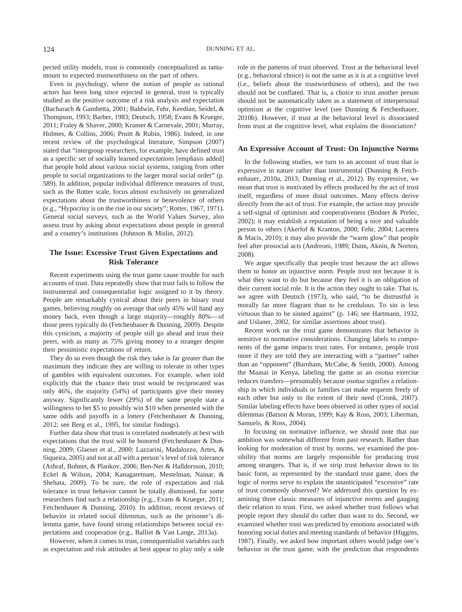pected utility models, trust is commonly conceptualized as tantamount to expected trustworthiness on the part of others.

Even in psychology, where the notion of people as rational actors has been long since rejected in general, trust is typically studied as the positive outcome of a risk analysis and expectation (Bacharach & Gambetta, 2001; Baldwin, Fehr, Keedian, Seidel, & Thompson, 1993; Barber, 1983; Deutsch, 1958; Evans & Krueger, 2011; Fraley & Shaver, 2000; Kramer & Carnevale, 2001; Murray, Holmes, & Collins, 2006; Pruitt & Rubin, 1986). Indeed, in one recent review of the psychological literature, Simpson (2007) stated that "intergroup researchers, for example, have defined trust as a specific set of socially learned *expectations* [emphasis added] that people hold about various social systems, ranging from other people to social organizations to the larger moral social order" (p. 589). In addition, popular individual difference measures of trust, such as the Rotter scale, focus almost exclusively on generalized expectations about the trustworthiness or benevolence of others (e.g., "Hypocrisy is on the rise in our society"; Rotter, 1967, 1971). General social surveys, such as the World Values Survey, also assess trust by asking about expectations about people in general and a country's institutions (Johnson & Mislin, 2012).

# **The Issue: Excessive Trust Given Expectations and Risk Tolerance**

Recent experiments using the trust game cause trouble for such accounts of trust. Data repeatedly show that trust fails to follow the instrumental and consequentialist logic assigned to it by theory. People are remarkably cynical about their peers in binary trust games, believing roughly on average that only 45% will hand any money back, even though a large majority—roughly 80%— of those peers typically do (Fetchenhauer & Dunning, 2009). Despite this cynicism, a majority of people still go ahead and trust their peers, with as many as 75% giving money to a stranger despite their pessimistic expectations of return.

They do so even though the risk they take is far greater than the maximum they indicate they are willing to tolerate in other types of gambles with equivalent outcomes. For example, when told explicitly that the chance their trust would be reciprocated was only 46%, the majority (54%) of participants give their money anyway. Significantly fewer (29%) of the same people state a willingness to bet \$5 to possibly win \$10 when presented with the same odds and payoffs in a lottery (Fetchenhauer & Dunning, 2012; see Berg et al., 1995, for similar findings).

Further data show that trust is correlated moderately at best with expectations that the trust will be honored (Fetchenhauer & Dunning, 2009; Glaeser et al., 2000; Lazzarini, Madalozzo, Artes, & Siqueira, 2005) and not at all with a person's level of risk tolerance (Ashraf, Bohnet, & Plankov, 2006; Ben-Ner & Halldorsson, 2010; Eckel & Wilson, 2004; Kanagaretnam, Mestelman, Nainar, & Shehata, 2009). To be sure, the role of expectation and risk tolerance in trust behavior cannot be totally dismissed, for some researchers find such a relationship (e.g., Evans & Krueger, 2011; Fetchenhauer & Dunning, 2010). In addition, recent reviews of behavior in related social dilemmas, such as the prisoner's dilemma game, have found strong relationships between social expectations and cooperation (e.g., Balliet & Van Lange, 2013a).

However, when it comes to trust, consequentialist variables such as expectation and risk attitudes at best appear to play only a side role in the patterns of trust observed. Trust at the behavioral level (e.g., behavioral choice) is not the same as it is at a cognitive level (i.e., beliefs about the trustworthiness of others), and the two should not be conflated. That is, a choice to trust another person should not be automatically taken as a statement of interpersonal optimism at the cognitive level (see Dunning & Fetchenhauer, 2010b). However, if trust at the behavioral level is dissociated from trust at the cognitive level, what explains the dissociation?

## **An Expressive Account of Trust: On Injunctive Norms**

In the following studies, we turn to an account of trust that is expressive in nature rather than instrumental (Dunning & Fetchenhauer, 2010a, 2013; Dunning et al., 2012). By expressive, we mean that trust is motivated by effects produced by the act of trust itself, regardless of more distal outcomes. Many effects derive directly from the act of trust. For example, the action may provide a self-signal of optimism and cooperativeness (Bodner & Prelec, 2002); it may establish a reputation of being a nice and valuable person to others (Akerlof & Kranton, 2000; Fehr, 2004; Lacetera & Macis, 2010); it may also provide the "warm glow" that people feel after prosocial acts (Andreoni, 1989; Dunn, Aknin, & Norton, 2008).

We argue specifically that people trust because the act allows them to honor an injunctive norm. People trust not because it is what they want to do but because they feel it is an obligation of their current social role. It is the action they ought to take. That is, we agree with Deutsch (1973), who said, "to be distrustful is morally far more flagrant than to be credulous. To sin is less virtuous than to be sinned against" (p. 146; see Hartmann, 1932, and Uslaner, 2002, for similar assertions about trust).

Recent work on the trust game demonstrates that behavior is sensitive to normative considerations. Changing labels to components of the game impacts trust rates. For instance, people trust more if they are told they are interacting with a "partner" rather than an "opponent" (Burnham, McCabe, & Smith, 2000). Among the Maasai in Kenya, labeling the game as an *osotua* exercise reduces transfers—presumably because *osotua* signifies a relationship in which individuals or families can make requests freely of each other but only to the extent of their need (Cronk, 2007). Similar labeling effects have been observed in other types of social dilemmas (Batson & Moran, 1999; Kay & Ross, 2003; Liberman, Samuels, & Ross, 2004).

In focusing on normative influence, we should note that our ambition was somewhat different from past research. Rather than looking for moderation of trust by norms, we examined the possibility that norms are largely responsible for producing trust among strangers. That is, if we strip trust behavior down to its basic form, as represented by the standard trust game, does the logic of norms serve to explain the unanticipated "excessive" rate of trust commonly observed? We addressed this question by examining three classic measures of injunctive norms and gauging their relation to trust. First, we asked whether trust follows what people report they should do rather than want to do. Second, we examined whether trust was predicted by emotions associated with honoring social duties and meeting standards of behavior (Higgins, 1987). Finally, we asked how important others would judge one's behavior in the trust game, with the prediction that respondents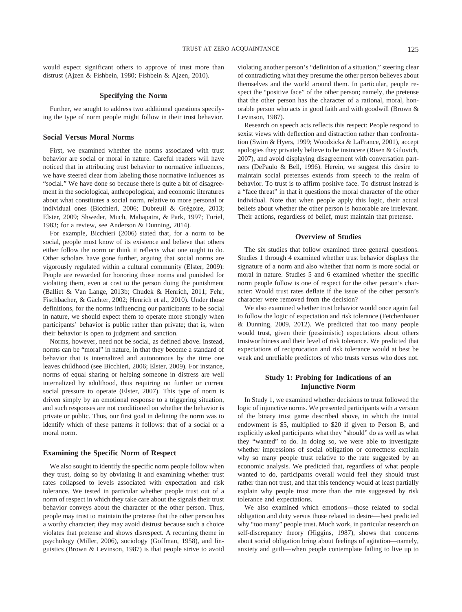## **Specifying the Norm**

Further, we sought to address two additional questions specifying the type of norm people might follow in their trust behavior.

## **Social Versus Moral Norms**

First, we examined whether the norms associated with trust behavior are social or moral in nature. Careful readers will have noticed that in attributing trust behavior to normative influences, we have steered clear from labeling those normative influences as "social." We have done so because there is quite a bit of disagreement in the sociological, anthropological, and economic literatures about what constitutes a social norm, relative to more personal or individual ones (Bicchieri, 2006; Dubreuil & Grégoire, 2013; Elster, 2009; Shweder, Much, Mahapatra, & Park, 1997; Turiel, 1983; for a review, see Anderson & Dunning, 2014).

For example, Bicchieri (2006) stated that, for a norm to be social, people must know of its existence and believe that others either follow the norm or think it reflects what one ought to do. Other scholars have gone further, arguing that social norms are vigorously regulated within a cultural community (Elster, 2009): People are rewarded for honoring those norms and punished for violating them, even at cost to the person doing the punishment (Balliet & Van Lange, 2013b; Chudek & Henrich, 2011; Fehr, Fischbacher, & Gächter, 2002; Henrich et al., 2010). Under those definitions, for the norms influencing our participants to be social in nature, we should expect them to operate more strongly when participants' behavior is public rather than private; that is, when their behavior is open to judgment and sanction.

Norms, however, need not be social, as defined above. Instead, norms can be "moral" in nature, in that they become a standard of behavior that is internalized and autonomous by the time one leaves childhood (see Bicchieri, 2006; Elster, 2009). For instance, norms of equal sharing or helping someone in distress are well internalized by adulthood, thus requiring no further or current social pressure to operate (Elster, 2007). This type of norm is driven simply by an emotional response to a triggering situation, and such responses are not conditioned on whether the behavior is private or public. Thus, our first goal in defining the norm was to identify which of these patterns it follows: that of a social or a moral norm.

## **Examining the Specific Norm of Respect**

We also sought to identify the specific norm people follow when they trust, doing so by obviating it and examining whether trust rates collapsed to levels associated with expectation and risk tolerance. We tested in particular whether people trust out of a norm of respect in which they take care about the signals their trust behavior conveys about the character of the other person. Thus, people may trust to maintain the pretense that the other person has a worthy character; they may avoid distrust because such a choice violates that pretense and shows disrespect. A recurring theme in psychology (Miller, 2006), sociology (Goffman, 1958), and linguistics (Brown & Levinson, 1987) is that people strive to avoid violating another person's "definition of a situation," steering clear of contradicting what they presume the other person believes about themselves and the world around them. In particular, people respect the "positive face" of the other person; namely, the pretense that the other person has the character of a rational, moral, honorable person who acts in good faith and with goodwill (Brown & Levinson, 1987).

Research on speech acts reflects this respect: People respond to sexist views with deflection and distraction rather than confrontation (Swim & Hyers, 1999; Woodzicka & LaFrance, 2001), accept apologies they privately believe to be insincere (Risen & Gilovich, 2007), and avoid displaying disagreement with conversation partners (DePaulo & Bell, 1996). Herein, we suggest this desire to maintain social pretenses extends from speech to the realm of behavior. To trust is to affirm positive face. To distrust instead is a "face threat" in that it questions the moral character of the other individual. Note that when people apply this logic, their actual beliefs about whether the other person is honorable are irrelevant. Their actions, regardless of belief, must maintain that pretense.

## **Overview of Studies**

The six studies that follow examined three general questions. Studies 1 through 4 examined whether trust behavior displays the signature of a norm and also whether that norm is more social or moral in nature. Studies 5 and 6 examined whether the specific norm people follow is one of respect for the other person's character: Would trust rates deflate if the issue of the other person's character were removed from the decision?

We also examined whether trust behavior would once again fail to follow the logic of expectation and risk tolerance (Fetchenhauer & Dunning, 2009, 2012). We predicted that too many people would trust, given their (pessimistic) expectations about others trustworthiness and their level of risk tolerance. We predicted that expectations of reciprocation and risk tolerance would at best be weak and unreliable predictors of who trusts versus who does not.

# **Study 1: Probing for Indications of an Injunctive Norm**

In Study 1, we examined whether decisions to trust followed the logic of injunctive norms. We presented participants with a version of the binary trust game described above, in which the initial endowment is \$5, multiplied to \$20 if given to Person B, and explicitly asked participants what they "should" do as well as what they "wanted" to do. In doing so, we were able to investigate whether impressions of social obligation or correctness explain why so many people trust relative to the rate suggested by an economic analysis. We predicted that, regardless of what people wanted to do, participants overall would feel they should trust rather than not trust, and that this tendency would at least partially explain why people trust more than the rate suggested by risk tolerance and expectations.

We also examined which emotions—those related to social obligation and duty versus those related to desire— best predicted why "too many" people trust. Much work, in particular research on self-discrepancy theory (Higgins, 1987), shows that concerns about social obligation bring about feelings of agitation—namely, anxiety and guilt—when people contemplate failing to live up to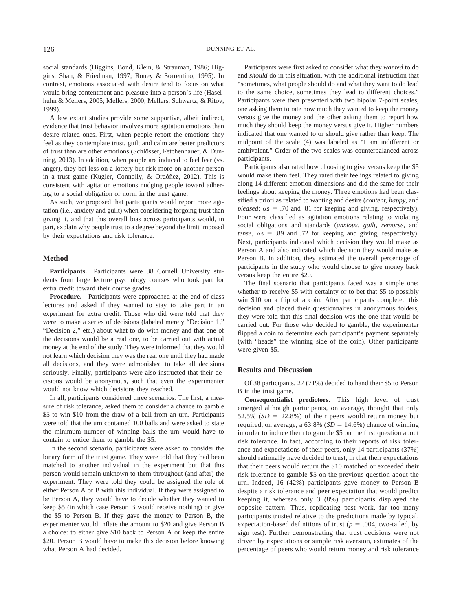social standards (Higgins, Bond, Klein, & Strauman, 1986; Higgins, Shah, & Friedman, 1997; Roney & Sorrentino, 1995). In contrast, emotions associated with desire tend to focus on what would bring contentment and pleasure into a person's life (Haselhuhn & Mellers, 2005; Mellers, 2000; Mellers, Schwartz, & Ritov, 1999).

A few extant studies provide some supportive, albeit indirect, evidence that trust behavior involves more agitation emotions than desire-related ones. First, when people report the emotions they feel as they contemplate trust, guilt and calm are better predictors of trust than are other emotions (Schlösser, Fetchenhauer, & Dunning, 2013). In addition, when people are induced to feel fear (vs. anger), they bet less on a lottery but risk more on another person in a trust game (Kugler, Connolly, & Ordóñez, 2012). This is consistent with agitation emotions nudging people toward adhering to a social obligation or norm in the trust game.

As such, we proposed that participants would report more agitation (i.e., anxiety and guilt) when considering forgoing trust than giving it, and that this overall bias across participants would, in part, explain why people trust to a degree beyond the limit imposed by their expectations and risk tolerance.

## **Method**

Participants. Participants were 38 Cornell University students from large lecture psychology courses who took part for extra credit toward their course grades.

**Procedure.** Participants were approached at the end of class lectures and asked if they wanted to stay to take part in an experiment for extra credit. Those who did were told that they were to make a series of decisions (labeled merely "Decision 1," "Decision 2," etc.) about what to do with money and that one of the decisions would be a real one, to be carried out with actual money at the end of the study. They were informed that they would not learn which decision they was the real one until they had made all decisions, and they were admonished to take all decisions seriously. Finally, participants were also instructed that their decisions would be anonymous, such that even the experimenter would not know which decisions they reached.

In all, participants considered three scenarios. The first, a measure of risk tolerance, asked them to consider a chance to gamble \$5 to win \$10 from the draw of a ball from an urn. Participants were told that the urn contained 100 balls and were asked to state the minimum number of winning balls the urn would have to contain to entice them to gamble the \$5.

In the second scenario, participants were asked to consider the binary form of the trust game. They were told that they had been matched to another individual in the experiment but that this person would remain unknown to them throughout (and after) the experiment. They were told they could be assigned the role of either Person A or B with this individual. If they were assigned to be Person A, they would have to decide whether they wanted to keep \$5 (in which case Person B would receive nothing) or give the \$5 to Person B. If they gave the money to Person B, the experimenter would inflate the amount to \$20 and give Person B a choice: to either give \$10 back to Person A or keep the entire \$20. Person B would have to make this decision before knowing what Person A had decided.

Participants were first asked to consider what they *wanted* to do and *should* do in this situation, with the additional instruction that "sometimes, what people should do and what they want to do lead to the same choice, sometimes they lead to different choices." Participants were then presented with two bipolar 7-point scales, one asking them to rate how much they wanted to keep the money versus give the money and the other asking them to report how much they should keep the money versus give it. Higher numbers indicated that one wanted to or should give rather than keep. The midpoint of the scale (4) was labeled as "I am indifferent or ambivalent." Order of the two scales was counterbalanced across participants.

Participants also rated how choosing to give versus keep the \$5 would make them feel. They rated their feelings related to giving along 14 different emotion dimensions and did the same for their feelings about keeping the money. Three emotions had been classified a priori as related to wanting and desire (*content, happy,* and *pleased*;  $\alpha s = .70$  and .81 for keeping and giving, respectively). Four were classified as agitation emotions relating to violating social obligations and standards (*anxious, guilt, remorse,* and *tense;*  $\alpha s = .89$  and .72 for keeping and giving, respectively). Next, participants indicated which decision they would make as Person A and also indicated which decision they would make as Person B. In addition, they estimated the overall percentage of participants in the study who would choose to give money back versus keep the entire \$20.

The final scenario that participants faced was a simple one: whether to receive \$5 with certainty or to bet that \$5 to possibly win \$10 on a flip of a coin. After participants completed this decision and placed their questionnaires in anonymous folders, they were told that this final decision was the one that would be carried out. For those who decided to gamble, the experimenter flipped a coin to determine each participant's payment separately (with "heads" the winning side of the coin). Other participants were given \$5.

## **Results and Discussion**

Of 38 participants, 27 (71%) decided to hand their \$5 to Person B in the trust game.

**Consequentialist predictors.** This high level of trust emerged although participants, on average, thought that only 52.5%  $(SD = 22.8\%)$  of their peers would return money but required, on average, a  $63.8\%$  ( $SD = 14.6\%$ ) chance of winning in order to induce them to gamble \$5 on the first question about risk tolerance. In fact, according to their reports of risk tolerance and expectations of their peers, only 14 participants (37%) should rationally have decided to trust, in that their expectations that their peers would return the \$10 matched or exceeded their risk tolerance to gamble \$5 on the previous question about the urn. Indeed, 16 (42%) participants gave money to Person B despite a risk tolerance and peer expectation that would predict keeping it, whereas only 3 (8%) participants displayed the opposite pattern. Thus, replicating past work, far too many participants trusted relative to the predictions made by typical, expectation-based definitions of trust ( $p = .004$ , two-tailed, by sign test). Further demonstrating that trust decisions were not driven by expectations or simple risk aversion, estimates of the percentage of peers who would return money and risk tolerance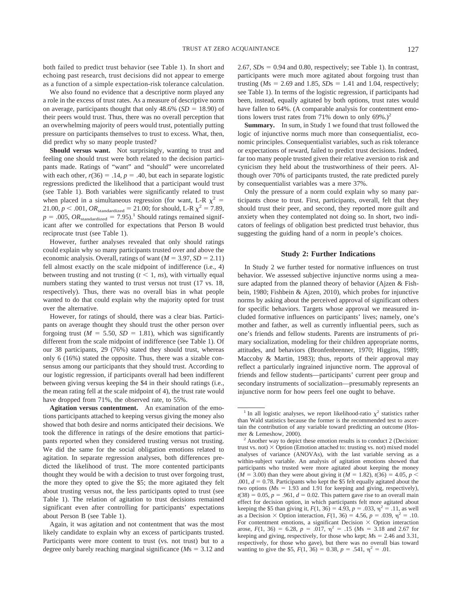both failed to predict trust behavior (see Table 1). In short and echoing past research, trust decisions did not appear to emerge as a function of a simple expectation-risk tolerance calculation.

We also found no evidence that a descriptive norm played any a role in the excess of trust rates. As a measure of descriptive norm on average, participants thought that only  $48.6\%$  (*SD* = 18.90) of their peers would trust. Thus, there was no overall perception that an overwhelming majority of peers would trust, potentially putting pressure on participants themselves to trust to excess. What, then, did predict why so many people trusted?

**Should versus want.** Not surprisingly, wanting to trust and feeling one should trust were both related to the decision participants made. Ratings of "want" and "should" were uncorrelated with each other,  $r(36) = .14$ ,  $p = .40$ , but each in separate logistic regressions predicted the likelihood that a participant would trust (see Table 1). Both variables were significantly related to trust when placed in a simultaneous regression (for want, L-R  $\chi^2$  = 21.00,  $p < .001$ ,  $OR_{standardized} = 21.00$ ; for should, L-R  $\chi^2 = 7.89$ ,  $p = .005$ , *OR*<sub>standardized</sub> = 7.95).<sup>1</sup> Should ratings remained significant after we controlled for expectations that Person B would reciprocate trust (see Table 1).

However, further analyses revealed that only should ratings could explain why so many participants trusted over and above the economic analysis. Overall, ratings of want  $(M = 3.97, SD = 2.11)$ fell almost exactly on the scale midpoint of indifference (i.e., 4) between trusting and not trusting  $(t < 1, ns)$ , with virtually equal numbers stating they wanted to trust versus not trust (17 vs. 18, respectively). Thus, there was no overall bias in what people wanted to do that could explain why the majority opted for trust over the alternative.

However, for ratings of should, there was a clear bias. Participants on average thought they should trust the other person over forgoing trust ( $M = 5.50$ ,  $SD = 1.81$ ), which was significantly different from the scale midpoint of indifference (see Table 1). Of our 38 participants, 29 (76%) stated they should trust, whereas only 6 (16%) stated the opposite. Thus, there was a sizable consensus among our participants that they should trust. According to our logistic regression, if participants overall had been indifferent between giving versus keeping the \$4 in their should ratings (i.e., the mean rating fell at the scale midpoint of 4), the trust rate would have dropped from 71%, the observed rate, to 55%.

**Agitation versus contentment.** An examination of the emotions participants attached to keeping versus giving the money also showed that both desire and norms anticipated their decisions. We took the difference in ratings of the desire emotions that participants reported when they considered trusting versus not trusting. We did the same for the social obligation emotions related to agitation. In separate regression analyses, both differences predicted the likelihood of trust. The more contented participants thought they would be with a decision to trust over forgoing trust, the more they opted to give the \$5; the more agitated they felt about trusting versus not, the less participants opted to trust (see Table 1). The relation of agitation to trust decisions remained significant even after controlling for participants' expectations about Person B (see Table 1).

Again, it was agitation and not contentment that was the most likely candidate to explain why an excess of participants trusted. Participants were more content to trust (vs. not trust) but to a degree only barely reaching marginal significance  $(Ms = 3.12$  and  $2.67$ ,  $SDs = 0.94$  and 0.80, respectively; see Table 1). In contrast, participants were much more agitated about forgoing trust than trusting ( $M$ s = 2.69 and 1.85,  $SD$ s = 1.41 and 1.04, respectively; see Table 1). In terms of the logistic regression, if participants had been, instead, equally agitated by both options, trust rates would have fallen to 64%. (A comparable analysis for contentment emotions lowers trust rates from 71% down to only  $69\%$ .)<sup>2</sup>

**Summary.** In sum, in Study 1 we found that trust followed the logic of injunctive norms much more than consequentialist, economic principles. Consequentialist variables, such as risk tolerance or expectations of reward, failed to predict trust decisions. Indeed, far too many people trusted given their relative aversion to risk and cynicism they held about the trustworthiness of their peers. Although over 70% of participants trusted, the rate predicted purely by consequentialist variables was a mere 37%.

Only the pressure of a norm could explain why so many participants chose to trust. First, participants, overall, felt that they should trust their peer, and second, they reported more guilt and anxiety when they contemplated not doing so. In short, two indicators of feelings of obligation best predicted trust behavior, thus suggesting the guiding hand of a norm in people's choices.

## **Study 2: Further Indications**

In Study 2 we further tested for normative influences on trust behavior. We assessed subjective injunctive norms using a measure adapted from the planned theory of behavior (Ajzen & Fishbein, 1980; Fishbein & Ajzen, 2010), which probes for injunctive norms by asking about the perceived approval of significant others for specific behaviors. Targets whose approval we measured included formative influences on participants' lives; namely, one's mother and father, as well as currently influential peers, such as one's friends and fellow students. Parents are instruments of primary socialization, modeling for their children appropriate norms, attitudes, and behaviors (Bronfenbrenner, 1970; Higgins, 1989; Maccoby & Martin, 1983); thus, reports of their approval may reflect a particularly ingrained injunctive norm. The approval of friends and fellow students—participants' current peer group and secondary instruments of socialization—presumably represents an injunctive norm for how peers feel one ought to behave.

<sup>&</sup>lt;sup>1</sup> In all logistic analyses, we report likelihood-ratio  $\chi^2$  statistics rather than Wald statistics because the former is the recommended test to ascertain the contribution of any variable toward predicting an outcome (Hosmer & Lemeshow, 2000).  $\frac{2}{3}$  Another way to depict these emotion results is to conduct 2 (Decision:

trust vs. not)  $\times$  Option (Emotion attached to: trusting vs. not) mixed model analyses of variance (ANOVAs), with the last variable serving as a within-subject variable. An analysis of agitation emotions showed that participants who trusted were more agitated about keeping the money  $(M = 3.00)$  than they were about giving it  $(M = 1.82)$ ,  $t(36) = 4.05$ ,  $p <$ .001,  $d = 0.78$ . Participants who kept the \$5 felt equally agitated about the two options ( $Ms = 1.93$  and 1.91 for keeping and giving, respectively),  $t(38) = 0.05, p = .961, d = 0.02$ . This pattern gave rise to an overall main effect for decision option, in which participants felt more agitated about keeping the \$5 than giving it,  $F(1, 36) = 4.93$ ,  $p = .033$ ,  $p^2 = .11$ , as well as a Decision  $\times$  Option interaction,  $F(1, 36) = 4.56$ ,  $p = .039$ ,  $\eta^2 = .10$ . For contentment emotions, a significant Decision  $\times$  Option interaction arose,  $F(1, 36) = 6.28$ ,  $p = .017$ ,  $p^2 = .15$  ( $Ms = 3.18$  and 2.67 for keeping and giving, respectively, for those who kept;  $Ms = 2.46$  and 3.31, respectively, for those who gave), but there was no overall bias toward wanting to give the \$5,  $F(1, 36) = 0.38$ ,  $p = .541$ ,  $\eta^2 = .01$ .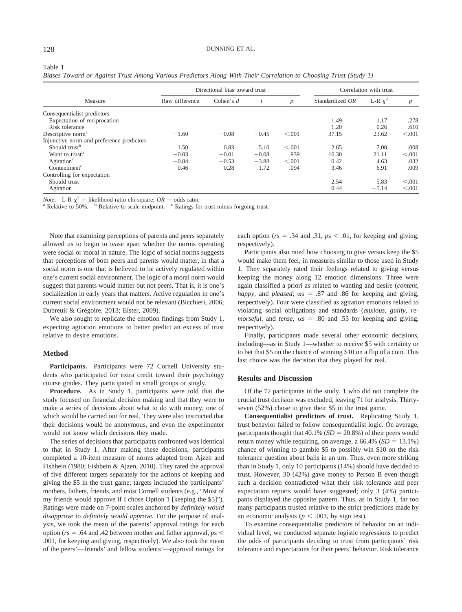#### 128 DUNNING ET AL.

|--|--|

*Biases Toward or Against Trust Among Various Predictors Along With Their Correlation to Choosing Trust (Study 1)*

| Measure                                   |                | Directional bias toward trust | Correlation with trust |                  |                 |              |                  |
|-------------------------------------------|----------------|-------------------------------|------------------------|------------------|-----------------|--------------|------------------|
|                                           | Raw difference | Cohen's $d$                   |                        | $\boldsymbol{v}$ | Standardized OR | L-R $\chi^2$ | $\boldsymbol{p}$ |
| Consequentialist predictors               |                |                               |                        |                  |                 |              |                  |
| Expectation of reciprocation              |                |                               |                        |                  | 1.49            | 1.17         | .278             |
| Risk tolerance                            |                |                               |                        |                  | 1.20            | 0.26         | .610             |
| Descriptive norm <sup>a</sup>             | $-1.60$        | $-0.08$                       | $-0.45$                | < 0.001          | 37.15           | 23.62        | < 0.001          |
| Injunctive norm and preference predictors |                |                               |                        |                  |                 |              |                  |
| Should trust <sup>b</sup>                 | 1.50           | 0.83                          | 5.10                   | < 0.001          | 2.65            | 7.00         | .008             |
| Want to trust <sup>b</sup>                | $-0.03$        | $-0.01$                       | $-0.08$                | .939             | 16.30           | 21.11        | < 0.001          |
| Agitation <sup>c</sup>                    | $-0.84$        | $-0.53$                       | $-3.88$                | < 0.001          | 0.42            | 4.63         | .032             |
| Contentment <sup>c</sup>                  | 0.46           | 0.28                          | 1.72                   | .094             | 3.46            | 6.91         | .009             |
| Controlling for expectation               |                |                               |                        |                  |                 |              |                  |
| Should trust                              |                |                               |                        |                  | 2.54            | 5.83         | < 0.001          |
| Agitation                                 |                |                               |                        |                  | 0.44            | $-5.14$      | < 0.001          |

*Note.* L-R  $\chi^2$  = likelihood-ratio chi-square;  $OR =$  odds ratio.<br><sup>a</sup> Relative to 50%. <sup>b</sup> Relative to scale midpoint. <sup>c</sup> Ratings for trust minus forgoing trust.

Note that examining perceptions of parents and peers separately allowed us to begin to tease apart whether the norms operating were social or moral in nature. The logic of social norms suggests that perceptions of both peers and parents would matter, in that a social norm is one that is believed to be actively regulated within one's current social environment. The logic of a moral norm would suggest that parents would matter but not peers. That is, it is one's socialization in early years that matters. Active regulation in one's current social environment would not be relevant (Bicchieri, 2006; Dubreuil & Grégoire, 2013; Elster, 2009).

We also sought to replicate the emotion findings from Study 1, expecting agitation emotions to better predict an excess of trust relative to desire emotions.

## **Method**

Participants. Participants were 72 Cornell University students who participated for extra credit toward their psychology course grades. They participated in small groups or singly.

**Procedure.** As in Study 1, participants were told that the study focused on financial decision making and that they were to make a series of decisions about what to do with money, one of which would be carried out for real. They were also instructed that their decisions would be anonymous, and even the experimenter would not know which decisions they made.

The series of decisions that participants confronted was identical to that in Study 1. After making these decisions, participants completed a 10-item measure of norms adapted from Ajzen and Fishbein (1980; Fishbein & Ajzen, 2010). They rated the approval of five different targets separately for the actions of keeping and giving the \$5 in the trust game; targets included the participants' mothers, fathers, friends, and most Cornell students (e.g., "Most of my friends would approve if I chose Option 1 [keeping the \$5]"). Ratings were made on 7-point scales anchored by *definitely would disapprove* to *definitely would approve.* For the purpose of analysis, we took the mean of the parents' approval ratings for each option ( $rs = .64$  and .42 between mother and father approval,  $ps <$ .001, for keeping and giving, respectively). We also took the mean of the peers'—friends' and fellow students'—approval ratings for each option ( $rs = .34$  and  $.31$ ,  $ps < .01$ , for keeping and giving, respectively).

Participants also rated how choosing to give versus keep the \$5 would make them feel, in measures similar to those used in Study 1. They separately rated their feelings related to giving versus keeping the money along 12 emotion dimensions. Three were again classified a priori as related to wanting and desire (*content, happy*, and *pleased*;  $\alpha s = .87$  and .86 for keeping and giving, respectively). Four were classified as agitation emotions related to violating social obligations and standards (*anxious, guilty, remorseful,* and *tense*;  $\alpha s = .80$  and .55 for keeping and giving, respectively).

Finally, participants made several other economic decisions, including—as in Study 1—whether to receive \$5 with certainty or to bet that \$5 on the chance of winning \$10 on a flip of a coin. This last choice was the decision that they played for real.

## **Results and Discussion**

Of the 72 participants in the study, 1 who did not complete the crucial trust decision was excluded, leaving 71 for analysis. Thirtyseven (52%) chose to give their \$5 in the trust game.

**Consequentialist predictors of trust.** Replicating Study 1, trust behavior failed to follow consequentialist logic. On average, participants thought that  $40.1\%$  ( $SD = 20.8\%$ ) of their peers would return money while requiring, on average, a  $66.4\%$  ( $SD = 13.1\%$ ) chance of winning to gamble \$5 to possibly win \$10 on the risk tolerance question about balls in an urn. Thus, even more striking than in Study 1, only 10 participants (14%) should have decided to trust. However, 30 (42%) gave money to Person B even though such a decision contradicted what their risk tolerance and peer expectation reports would have suggested; only 3 (4%) participants displayed the opposite pattern. Thus, as in Study 1, far too many participants trusted relative to the strict predictions made by an economic analysis ( $p < .001$ , by sign test).

To examine consequentialist predictors of behavior on an individual level, we conducted separate logistic regressions to predict the odds of participants deciding to trust from participants' risk tolerance and expectations for their peers' behavior. Risk tolerance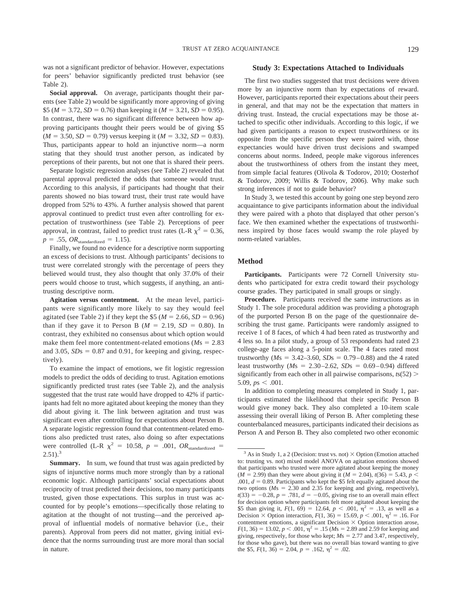was not a significant predictor of behavior. However, expectations for peers' behavior significantly predicted trust behavior (see Table 2).

**Social approval.** On average, participants thought their parents (see Table 2) would be significantly more approving of giving \$5 ( $M = 3.72$ ,  $SD = 0.76$ ) than keeping it ( $M = 3.21$ ,  $SD = 0.95$ ). In contrast, there was no significant difference between how approving participants thought their peers would be of giving \$5  $(M = 3.50, SD = 0.79)$  versus keeping it  $(M = 3.32, SD = 0.83)$ . Thus, participants appear to hold an injunctive norm—a norm stating that they should trust another person, as indicated by perceptions of their parents, but not one that is shared their peers.

Separate logistic regression analyses (see Table 2) revealed that parental approval predicted the odds that someone would trust. According to this analysis, if participants had thought that their parents showed no bias toward trust, their trust rate would have dropped from 52% to 43%. A further analysis showed that parent approval continued to predict trust even after controlling for expectation of trustworthiness (see Table 2). Perceptions of peer approval, in contrast, failed to predict trust rates (L-R  $\chi^2 = 0.36$ ,  $p = .55$ ,  $OR_{standardized} = 1.15$ .

Finally, we found no evidence for a descriptive norm supporting an excess of decisions to trust. Although participants' decisions to trust were correlated strongly with the percentage of peers they believed would trust, they also thought that only 37.0% of their peers would choose to trust, which suggests, if anything, an antitrusting descriptive norm.

**Agitation versus contentment.** At the mean level, participants were significantly more likely to say they would feel agitated (see Table 2) if they kept the \$5 ( $M = 2.66$ ,  $SD = 0.96$ ) than if they gave it to Person B ( $M = 2.19$ ,  $SD = 0.80$ ). In contrast, they exhibited no consensus about which option would make them feel more contentment-related emotions ( $Ms = 2.83$ ) and 3.05,  $SDs = 0.87$  and 0.91, for keeping and giving, respectively).

To examine the impact of emotions, we fit logistic regression models to predict the odds of deciding to trust. Agitation emotions significantly predicted trust rates (see Table 2), and the analysis suggested that the trust rate would have dropped to 42% if participants had felt no more agitated about keeping the money than they did about giving it. The link between agitation and trust was significant even after controlling for expectations about Person B. A separate logistic regression found that contentment-related emotions also predicted trust rates, also doing so after expectations were controlled (L-R  $\chi^2$  = 10.58,  $p = .001$ ,  $OR_{standardized}$  =  $2.51$ ).<sup>3</sup>

**Summary.** In sum, we found that trust was again predicted by signs of injunctive norms much more strongly than by a rational economic logic. Although participants' social expectations about reciprocity of trust predicted their decisions, too many participants trusted, given those expectations. This surplus in trust was accounted for by people's emotions—specifically those relating to agitation at the thought of not trusting—and the perceived approval of influential models of normative behavior (i.e., their parents). Approval from peers did not matter, giving initial evidence that the norms surrounding trust are more moral than social in nature.

## **Study 3: Expectations Attached to Individuals**

The first two studies suggested that trust decisions were driven more by an injunctive norm than by expectations of reward. However, participants reported their expectations about their peers in general, and that may not be the expectation that matters in driving trust. Instead, the crucial expectations may be those attached to specific other individuals. According to this logic, if we had given participants a reason to expect trustworthiness or its opposite from the specific person they were paired with, those expectancies would have driven trust decisions and swamped concerns about norms. Indeed, people make vigorous inferences about the trustworthiness of others from the instant they meet, from simple facial features (Olivola & Todorov, 2010; Oosterhof & Todorov, 2009; Willis & Todorov, 2006). Why make such strong inferences if not to guide behavior?

In Study 3, we tested this account by going one step beyond zero acquaintance to give participants information about the individual they were paired with a photo that displayed that other person's face. We then examined whether the expectations of trustworthiness inspired by those faces would swamp the role played by norm-related variables.

## **Method**

Participants. Participants were 72 Cornell University students who participated for extra credit toward their psychology course grades. They participated in small groups or singly.

**Procedure.** Participants received the same instructions as in Study 1. The sole procedural addition was providing a photograph of the purported Person B on the page of the questionnaire describing the trust game. Participants were randomly assigned to receive 1 of 8 faces, of which 4 had been rated as trustworthy and 4 less so. In a pilot study, a group of 53 respondents had rated 23 college-age faces along a 5-point scale. The 4 faces rated most trustworthy ( $Ms = 3.42 - 3.60$ ,  $SDs = 0.79 - 0.88$ ) and the 4 rated least trustworthy  $(Ms = 2.30 - 2.62, SDs = 0.69 - 0.94)$  differed significantly from each other in all pairwise comparisons, *t*s(52) 5.09,  $ps < .001$ .

In addition to completing measures completed in Study 1, participants estimated the likelihood that their specific Person B would give money back. They also completed a 10-item scale assessing their overall liking of Person B. After completing these counterbalanced measures, participants indicated their decisions as Person A and Person B. They also completed two other economic

<sup>&</sup>lt;sup>3</sup> As in Study 1, a 2 (Decision: trust vs. not)  $\times$  Option (Emotion attached to: trusting vs. not) mixed model ANOVA on agitation emotions showed that participants who trusted were more agitated about keeping the money  $(M = 2.99)$  than they were about giving it  $(M = 2.04)$ ,  $t(36) = 5.43$ ,  $p <$ .001,  $d = 0.89$ . Participants who kept the \$5 felt equally agitated about the two options ( $Ms = 2.30$  and 2.35 for keeping and giving, respectively),  $t(33) = -0.28$ ,  $p = .781$ ,  $d = -0.05$ , giving rise to an overall main effect for decision option where participants felt more agitated about keeping the \$5 than giving it,  $F(1, 69) = 12.64$ ,  $p < .001$ ,  $\eta^2 = .13$ , as well as a Decision  $\times$  Option interaction,  $F(1, 36) = 15.69$ ,  $p < .001$ ,  $p^2 = .16$ . For contentment emotions, a significant Decision  $\times$  Option interaction arose,  $F(1, 36) = 13.02, p < .001, \eta^2 = .15$  (*Ms* = 2.89 and 2.59 for keeping and giving, respectively, for those who kept; *M*s 2.77 and 3.47, respectively, for those who gave), but there was no overall bias toward wanting to give the \$5,  $F(1, 36) = 2.04$ ,  $p = .162$ ,  $\eta^2 = .02$ .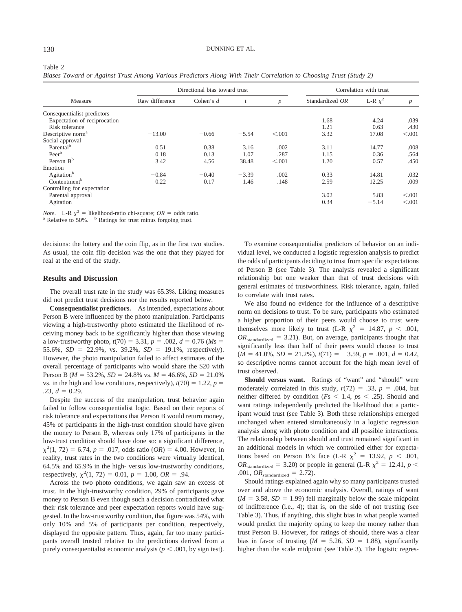Table 2

*Biases Toward or Against Trust Among Various Predictors Along With Their Correlation to Choosing Trust (Study 2)*

| Measure                       |                | Directional bias toward trust |         |                  |                 | Correlation with trust |         |  |
|-------------------------------|----------------|-------------------------------|---------|------------------|-----------------|------------------------|---------|--|
|                               | Raw difference | Cohen's $d$                   |         | $\boldsymbol{p}$ | Standardized OR | L-R $\chi^2$           | p       |  |
| Consequentialist predictors   |                |                               |         |                  |                 |                        |         |  |
| Expectation of reciprocation  |                |                               |         |                  | 1.68            | 4.24                   | .039    |  |
| Risk tolerance                |                |                               |         |                  | 1.21            | 0.63                   | .430    |  |
| Descriptive norm <sup>a</sup> | $-13.00$       | $-0.66$                       | $-5.54$ | < 0.001          | 3.32            | 17.08                  | < 0.001 |  |
| Social approval               |                |                               |         |                  |                 |                        |         |  |
| Parental <sup>b</sup>         | 0.51           | 0.38                          | 3.16    | .002             | 3.11            | 14.77                  | .008    |  |
| $Peer^b$                      | 0.18           | 0.13                          | 1.07    | .287             | 1.15            | 0.36                   | .564    |  |
| Person $Bb$                   | 3.42           | 4.56                          | 38.48   | < 0.001          | 1.20            | 0.57                   | .450    |  |
| Emotion                       |                |                               |         |                  |                 |                        |         |  |
| Agitation <sup>b</sup>        | $-0.84$        | $-0.40$                       | $-3.39$ | .002             | 0.33            | 14.81                  | .032    |  |
| Contentment <sup>b</sup>      | 0.22           | 0.17                          | 1.46    | .148             | 2.59            | 12.25                  | .009    |  |
| Controlling for expectation   |                |                               |         |                  |                 |                        |         |  |
| Parental approval             |                |                               |         |                  | 3.02            | 5.83                   | < 0.001 |  |
| Agitation                     |                |                               |         |                  | 0.34            | $-5.14$                | < 0.001 |  |

*Note.* L-R  $\chi^2$  = likelihood-ratio chi-square; *OR* = odds ratio. a Relative to 50%. <sup>b</sup> Ratings for trust minus forgoing trust.

decisions: the lottery and the coin flip, as in the first two studies. As usual, the coin flip decision was the one that they played for real at the end of the study.

## **Results and Discussion**

The overall trust rate in the study was 65.3%. Liking measures did not predict trust decisions nor the results reported below.

**Consequentialist predictors.** As intended, expectations about Person B were influenced by the photo manipulation. Participants viewing a high-trustworthy photo estimated the likelihood of receiving money back to be significantly higher than those viewing a low-trustworthy photo,  $t(70) = 3.31$ ,  $p = .002$ ,  $d = 0.76$  (*Ms* = 55.6%,  $SD = 22.9\%$ , vs. 39.2%,  $SD = 19.1\%$ , respectively). However, the photo manipulation failed to affect estimates of the overall percentage of participants who would share the \$20 with Person B ( $M = 53.2\%$ ,  $SD = 24.8\%$  vs.  $M = 46.6\%$ ,  $SD = 21.0\%$ vs. in the high and low conditions, respectively),  $t(70) = 1.22$ ,  $p =$  $.23, d = 0.29.$ 

Despite the success of the manipulation, trust behavior again failed to follow consequentialist logic. Based on their reports of risk tolerance and expectations that Person B would return money, 45% of participants in the high-trust condition should have given the money to Person B, whereas only 17% of participants in the low-trust condition should have done so: a significant difference,  $\chi^2(1, 72) = 6.74$ ,  $p = .017$ , odds ratio (*OR*) = 4.00. However, in reality, trust rates in the two conditions were virtually identical, 64.5% and 65.9% in the high- versus low-trustworthy conditions, respectively,  $\chi^2(1, 72) = 0.01$ ,  $p = 1.00$ ,  $OR = .94$ .

Across the two photo conditions, we again saw an excess of trust. In the high-trustworthy condition, 29% of participants gave money to Person B even though such a decision contradicted what their risk tolerance and peer expectation reports would have suggested. In the low-trustworthy condition, that figure was 54%, with only 10% and 5% of participants per condition, respectively, displayed the opposite pattern. Thus, again, far too many participants overall trusted relative to the predictions derived from a purely consequentialist economic analysis ( $p < .001$ , by sign test).

To examine consequentialist predictors of behavior on an individual level, we conducted a logistic regression analysis to predict the odds of participants deciding to trust from specific expectations of Person B (see Table 3). The analysis revealed a significant relationship but one weaker than that of trust decisions with general estimates of trustworthiness. Risk tolerance, again, failed to correlate with trust rates.

We also found no evidence for the influence of a descriptive norm on decisions to trust. To be sure, participants who estimated a higher proportion of their peers would choose to trust were themselves more likely to trust (L-R  $\chi^2 = 14.87$ ,  $p < .001$ ,  $OR_{standardized}$  = 3.21). But, on average, participants thought that significantly less than half of their peers would choose to trust  $(M = 41.0\%, SD = 21.2\%), t(71) = -3.59, p = .001, d = 0.42,$ so descriptive norms cannot account for the high mean level of trust observed.

**Should versus want.** Ratings of "want" and "should" were moderately correlated in this study,  $r(72) = .33$ ,  $p = .004$ , but neither differed by condition ( $Fs < 1.4$ ,  $ps < .25$ ). Should and want ratings independently predicted the likelihood that a participant would trust (see Table 3). Both these relationships emerged unchanged when entered simultaneously in a logistic regression analysis along with photo condition and all possible interactions. The relationship between should and trust remained significant in an additional models in which we controlled either for expectations based on Person B's face (L-R  $\chi^2 = 13.92$ ,  $p < .001$ ,  $OR_{standardized}$  = 3.20) or people in general (L-R  $\chi^2$  = 12.41, *p* < .001,  $OR_{standardized} = 2.72$ ).

Should ratings explained again why so many participants trusted over and above the economic analysis. Overall, ratings of want  $(M = 3.58, SD = 1.99)$  fell marginally below the scale midpoint of indifference (i.e., 4); that is, on the side of not trusting (see Table 3). Thus, if anything, this slight bias in what people wanted would predict the majority opting to keep the money rather than trust Person B. However, for ratings of should, there was a clear bias in favor of trusting  $(M = 5.26, SD = 1.88)$ , significantly higher than the scale midpoint (see Table 3). The logistic regres-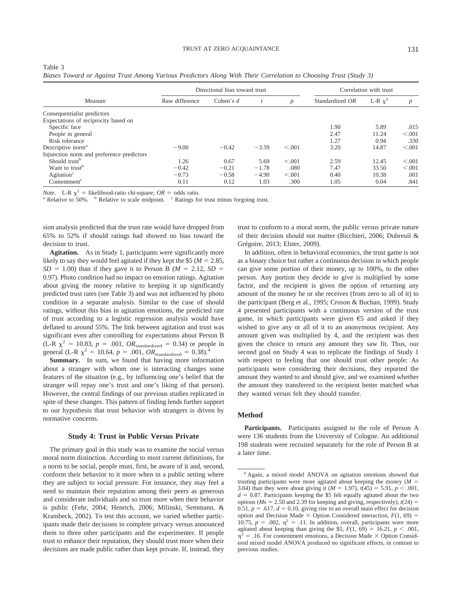#### TRUST AT ZERO ACQUAINTANCE 131

#### Table 3

*Biases Toward or Against Trust Among Various Predictors Along With Their Correlation to Choosing Trust (Study 3)*

|                                           |                | Directional bias toward trust | Correlation with trust |                  |                 |              |         |
|-------------------------------------------|----------------|-------------------------------|------------------------|------------------|-----------------|--------------|---------|
| Measure                                   | Raw difference | Cohen's $d$                   |                        | $\boldsymbol{p}$ | Standardized OR | L-R $\chi^2$ |         |
| Consequentialist predictors               |                |                               |                        |                  |                 |              |         |
| Expectations of reciprocity based on      |                |                               |                        |                  |                 |              |         |
| Specific face                             |                |                               |                        |                  | 1.90            | 5.89         | .015    |
| People in general                         |                |                               |                        |                  | 2.47            | 11.24        | < 0.001 |
| Risk tolerance                            |                |                               |                        |                  | 1.27            | 0.94         | .330    |
| Descriptive norm <sup>a</sup>             | $-9.00$        | $-0.42$                       | $-3.59$                | < 0.01           | 3.20            | 14.87        | < 0.001 |
| Injunction norm and preference predictors |                |                               |                        |                  |                 |              |         |
| Should trust <sup>b</sup>                 | 1.26           | 0.67                          | 5.69                   | < 0.001          | 2.59            | 12.45        | < 0.001 |
| Want to trust <sup>b</sup>                | $-0.42$        | $-0.21$                       | $-1.78$                | .080             | 7.47            | 33.50        | < 0.001 |
| Agitation <sup>c</sup>                    | $-0.73$        | $-0.58$                       | $-4.90$                | < 0.001          | 0.40            | 10.38        | .001    |
| Contentment <sup>c</sup>                  | 0.11           | 0.12                          | 1.03                   | .300             | 1.05            | 0.04         | .841    |

*Note.* L-R  $\chi^2$  = likelihood-ratio chi-square; *OR* = odds ratio.  $\chi^2$  Relative to 50%. **b** Relative to scale midpoint. <sup>c</sup> Ratings for trust minus forgoing trust.

sion analysis predicted that the trust rate would have dropped from 65% to 52% if should ratings had showed no bias toward the decision to trust.

**Agitation.** As in Study 1, participants were significantly more likely to say they would feel agitated if they kept the \$5 ( $M = 2.85$ ,  $SD = 1.00$ ) than if they gave it to Person B ( $M = 2.12$ ,  $SD =$ 0.97). Photo condition had no impact on emotion ratings. Agitation about giving the money relative to keeping it up significantly predicted trust rates (see Table 3) and was not influenced by photo condition in a separate analysis. Similar to the case of should ratings, without this bias in agitation emotions, the predicted rate of trust according to a logistic regression analysis would have deflated to around 55%. The link between agitation and trust was significant even after controlling for expectations about Person B  $(L-R) \chi^2 = 10.83, p = .001, OR_{standardized} = 0.34$  or people in general (L-R  $\chi^2 = 10.64$ ,  $p = .001$ ,  $OR_{standardized} = 0.38$ ).<sup>4</sup>

**Summary.** In sum, we found that having more information about a stranger with whom one is interacting changes some features of the situation (e.g., by influencing one's belief that the stranger will repay one's trust and one's liking of that person). However, the central findings of our previous studies replicated in spite of these changes. This pattern of finding lends further support to our hypothesis that trust behavior with strangers is driven by normative concerns.

#### **Study 4: Trust in Public Versus Private**

The primary goal in this study was to examine the social versus moral norm distinction. According to most current definitions, for a norm to be social, people must, first, be aware of it and, second, conform their behavior to it more when in a public setting where they are subject to social pressure. For instance, they may feel a need to maintain their reputation among their peers as generous and considerate individuals and so trust more when their behavior is public (Fehr, 2004; Henrich, 2006; Milinski, Semmann, & Krambeck, 2002). To test this account, we varied whether participants made their decisions in complete privacy versus announced them to three other participants and the experimenter. If people trust to enhance their reputation, they should trust more when their decisions are made public rather than kept private. If, instead, they trust to conform to a moral norm, the public versus private nature of their decision should not matter (Bicchieri, 2006; Dubreuil & Grégoire, 2013; Elster, 2009).

In addition, often in behavioral economics, the trust game is not as a binary choice but rather a continuous decision in which people can give some portion of their money, up to 100%, to the other person. Any portion they decide to give is multiplied by some factor, and the recipient is given the option of returning any amount of the money he or she receives (from zero to all of it) to the participant (Berg et al., 1995; Croson & Buchan, 1999). Study 4 presented participants with a continuous version of the trust game, in which participants were given €5 and asked if they wished to give any or all of it to an anonymous recipient. Any amount given was multiplied by 4, and the recipient was then given the choice to return any amount they saw fit. Thus, our second goal on Study 4 was to replicate the findings of Study 1 with respect to feeling that one should trust other people: As participants were considering their decisions, they reported the amount they wanted to and should give, and we examined whether the amount they transferred to the recipient better matched what they wanted versus felt they should transfer.

#### **Method**

**Participants.** Participants assigned to the role of Person A were 136 students from the University of Cologne. An additional 198 students were recruited separately for the role of Person B at a later time.

<sup>4</sup> Again, a mixed model ANOVA on agitation emotions showed that trusting participants were more agitated about keeping the money  $(M =$ 3.04) than they were about giving it ( $M = 1.97$ ),  $t(45) = 5.91$ ,  $p < .001$ ,  $d = 0.87$ . Participants keeping the \$5 felt equally agitated about the two options ( $Ms = 2.50$  and 2.39 for keeping and giving, respectively),  $t(24) =$  $0.51, p = .617, d = 0.10$ , giving rise to an overall main effect for decision option and Decision Made  $\times$  Option Considered interaction,  $F(1, 69)$  = 10.75,  $p = .002$ ,  $\eta^2 = .11$ . In addition, overall, participants were more agitated about keeping than giving the \$5,  $F(1, 69) = 16.21$ ,  $p < .001$ ,  $\eta^2$  = .16. For contentment emotions, a Decision Made  $\times$  Option Considered mixed model ANOVA produced no significant effects, in contrast to previous studies.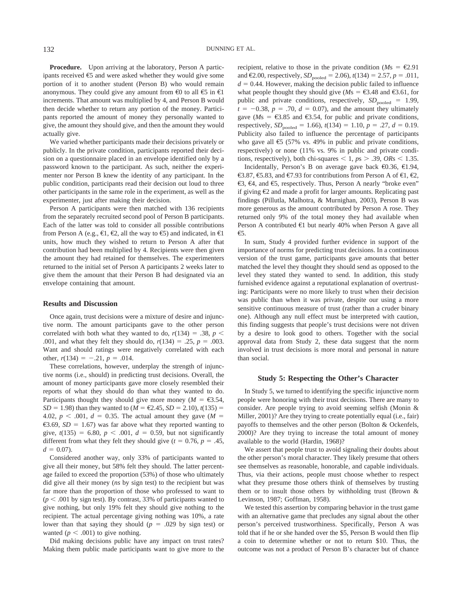**Procedure.** Upon arriving at the laboratory, Person A participants received €5 and were asked whether they would give some portion of it to another student (Person B) who would remain anonymous. They could give any amount from  $\epsilon$ 0 to all  $\epsilon$ 5 in  $\epsilon$ 1 increments. That amount was multiplied by 4, and Person B would then decide whether to return any portion of the money. Participants reported the amount of money they personally wanted to give, the amount they should give, and then the amount they would actually give.

We varied whether participants made their decisions privately or publicly. In the private condition, participants reported their decision on a questionnaire placed in an envelope identified only by a password known to the participant. As such, neither the experimenter nor Person B knew the identity of any participant. In the public condition, participants read their decision out loud to three other participants in the same role in the experiment, as well as the experimenter, just after making their decision.

Person A participants were then matched with 136 recipients from the separately recruited second pool of Person B participants. Each of the latter was told to consider all possible contributions from Person A (e.g.,  $\epsilon$ 1,  $\epsilon$ 2, all the way to  $\epsilon$ 5) and indicated, in  $\epsilon$ 1 units, how much they wished to return to Person A after that contribution had been multiplied by 4. Recipients were then given the amount they had retained for themselves. The experimenters returned to the initial set of Person A participants 2 weeks later to give them the amount that their Person B had designated via an envelope containing that amount.

## **Results and Discussion**

Once again, trust decisions were a mixture of desire and injunctive norm. The amount participants gave to the other person correlated with both what they wanted to do,  $r(134) = .38$ ,  $p <$ .001, and what they felt they should do,  $r(134) = .25$ ,  $p = .003$ . Want and should ratings were negatively correlated with each other,  $r(134) = -.21$ ,  $p = .014$ .

These correlations, however, underplay the strength of injunctive norms (i.e., should) in predicting trust decisions. Overall, the amount of money participants gave more closely resembled their reports of what they should do than what they wanted to do. Participants thought they should give more money ( $M = \epsilon$ 3.54, *SD* = 1.98) than they wanted to  $(M = \text{\textsterling}2.45, SD = 2.10), t(135) =$ 4.02,  $p < .001$ ,  $d = 0.35$ . The actual amount they gave (*M* = €3.69,  $SD = 1.67$ ) was far above what they reported wanting to give,  $t(135) = 6.80, p < .001, d = 0.59$ , but not significantly different from what they felt they should give ( $t = 0.76$ ,  $p = .45$ ,  $d = 0.07$ .

Considered another way, only 33% of participants wanted to give all their money, but 58% felt they should. The latter percentage failed to exceed the proportion (53%) of those who ultimately did give all their money (*ns* by sign test) to the recipient but was far more than the proportion of those who professed to want to  $(p < .001$  by sign test). By contrast, 33% of participants wanted to give nothing, but only 19% felt they should give nothing to the recipient. The actual percentage giving nothing was 10%, a rate lower than that saying they should  $(p = .029)$  by sign test) or wanted  $(p < .001)$  to give nothing.

Did making decisions public have any impact on trust rates? Making them public made participants want to give more to the recipient, relative to those in the private condition ( $Ms = \text{\textsterling}2.91$ ) and  $\epsilon$ 2.00, respectively,  $SD_{pooled} = 2.06$ ,  $t(134) = 2.57$ ,  $p = .011$ ,  $d = 0.44$ . However, making the decision public failed to influence what people thought they should give ( $Ms = \text{\textsterling}3.48$  and  $\text{\textsterling}3.61$ , for public and private conditions, respectively,  $SD_{pooled} = 1.99$ ,  $t = -0.38$ ,  $p = .70$ ,  $d = 0.07$ ), and the amount they ultimately gave ( $Ms = \text{\textsterling}3.85$  and  $\text{\textsterling}3.54$ , for public and private conditions, respectively,  $SD_{pooled} = 1.66$ ,  $t(134) = 1.10$ ,  $p = .27$ ,  $d = 0.19$ . Publicity also failed to influence the percentage of participants who gave all €5 (57% vs. 49% in public and private conditions, respectively) or none (11% vs. 9% in public and private conditions, respectively), both chi-squares  $\leq 1$ ,  $ps > .39$ ,  $ORs < 1.35$ .

Incidentally, Person's B on average gave back €0.36, €1.94, €3.87, €5.83, and €7.93 for contributions from Person A of €1, €2, €3, €4, and €5, respectively. Thus, Person A nearly "broke even" if giving €2 and made a profit for larger amounts. Replicating past findings (Pillutla, Malhotra, & Murnighan, 2003), Person B was more generous as the amount contributed by Person A rose. They returned only 9% of the total money they had available when Person A contributed  $E1$  but nearly 40% when Person A gave all €5.

In sum, Study 4 provided further evidence in support of the importance of norms for predicting trust decisions. In a continuous version of the trust game, participants gave amounts that better matched the level they thought they should send as opposed to the level they stated they wanted to send. In addition, this study furnished evidence against a reputational explanation of overtrusting: Participants were no more likely to trust when their decision was public than when it was private, despite our using a more sensitive continuous measure of trust (rather than a cruder binary one). Although any null effect must be interpreted with caution, this finding suggests that people's trust decisions were not driven by a desire to look good to others. Together with the social approval data from Study 2, these data suggest that the norm involved in trust decisions is more moral and personal in nature than social.

## **Study 5: Respecting the Other's Character**

In Study 5, we turned to identifying the specific injunctive norm people were honoring with their trust decisions. There are many to consider. Are people trying to avoid seeming selfish (Monin & Miller, 2001)? Are they trying to create potentially equal (i.e., fair) payoffs to themselves and the other person (Bolton & Ockenfels, 2000)? Are they trying to increase the total amount of money available to the world (Hardin, 1968)?

We assert that people trust to avoid signaling their doubts about the other person's moral character. They likely presume that others see themselves as reasonable, honorable, and capable individuals. Thus, via their actions, people must choose whether to respect what they presume those others think of themselves by trusting them or to insult those others by withholding trust (Brown & Levinson, 1987; Goffman, 1958).

We tested this assertion by comparing behavior in the trust game with an alternative game that precludes any signal about the other person's perceived trustworthiness. Specifically, Person A was told that if he or she handed over the \$5, Person B would then flip a coin to determine whether or not to return \$10. Thus, the outcome was not a product of Person B's character but of chance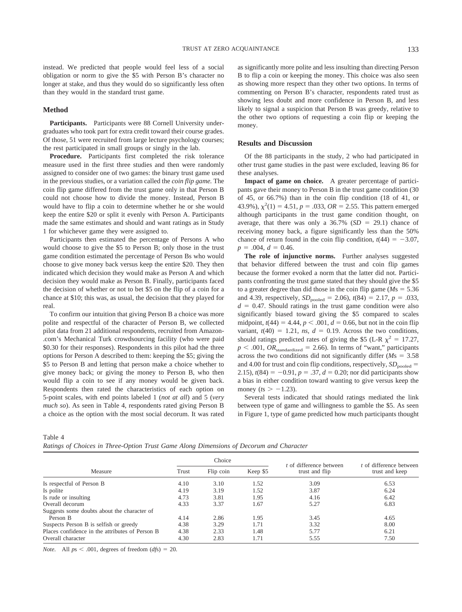instead. We predicted that people would feel less of a social obligation or norm to give the \$5 with Person B's character no longer at stake, and thus they would do so significantly less often than they would in the standard trust game.

## **Method**

Participants. Participants were 88 Cornell University undergraduates who took part for extra credit toward their course grades. Of those, 51 were recruited from large lecture psychology courses; the rest participated in small groups or singly in the lab.

**Procedure.** Participants first completed the risk tolerance measure used in the first three studies and then were randomly assigned to consider one of two games: the binary trust game used in the previous studies, or a variation called the *coin flip game.* The coin flip game differed from the trust game only in that Person B could not choose how to divide the money. Instead, Person B would have to flip a coin to determine whether he or she would keep the entire \$20 or split it evenly with Person A. Participants made the same estimates and should and want ratings as in Study 1 for whichever game they were assigned to.

Participants then estimated the percentage of Persons A who would choose to give the \$5 to Person B; only those in the trust game condition estimated the percentage of Person Bs who would choose to give money back versus keep the entire \$20. They then indicated which decision they would make as Person A and which decision they would make as Person B. Finally, participants faced the decision of whether or not to bet \$5 on the flip of a coin for a chance at \$10; this was, as usual, the decision that they played for real.

To confirm our intuition that giving Person B a choice was more polite and respectful of the character of Person B, we collected pilot data from 21 additional respondents, recruited from Amazon- .com's Mechanical Turk crowdsourcing facility (who were paid \$0.30 for their responses). Respondents in this pilot had the three options for Person A described to them: keeping the \$5; giving the \$5 to Person B and letting that person make a choice whether to give money back; or giving the money to Person B, who then would flip a coin to see if any money would be given back. Respondents then rated the characteristics of each option on 5-point scales, with end points labeled 1 (*not at all*) and 5 (*very much so*). As seen in Table 4, respondents rated giving Person B a choice as the option with the most social decorum. It was rated as significantly more polite and less insulting than directing Person B to flip a coin or keeping the money. This choice was also seen as showing more respect than they other two options. In terms of commenting on Person B's character, respondents rated trust as showing less doubt and more confidence in Person B, and less likely to signal a suspicion that Person B was greedy, relative to the other two options of requesting a coin flip or keeping the money.

#### **Results and Discussion**

Of the 88 participants in the study, 2 who had participated in other trust game studies in the past were excluded, leaving 86 for these analyses.

**Impact of game on choice.** A greater percentage of participants gave their money to Person B in the trust game condition (30 of 45, or 66.7%) than in the coin flip condition (18 of 41, or 43.9%),  $\chi^2(1) = 4.51$ ,  $p = .033$ ,  $OR = 2.55$ . This pattern emerged although participants in the trust game condition thought, on average, that there was only a  $36.7\%$  (*SD* = 29.1) chance of receiving money back, a figure significantly less than the 50% chance of return found in the coin flip condition,  $t(44) = -3.07$ ,  $p = .004, d = 0.46.$ 

**The role of injunctive norms.** Further analyses suggested that behavior differed between the trust and coin flip games because the former evoked a norm that the latter did not. Participants confronting the trust game stated that they should give the \$5 to a greater degree than did those in the coin flip game ( $Ms = 5.36$ ) and 4.39, respectively,  $SD_{pooled} = 2.06$ ,  $t(84) = 2.17$ ,  $p = .033$ ,  $d = 0.47$ . Should ratings in the trust game condition were also significantly biased toward giving the \$5 compared to scales midpoint,  $t(44) = 4.44$ ,  $p < .001$ ,  $d = 0.66$ , but not in the coin flip variant,  $t(40) = 1.21$ , *ns*,  $d = 0.19$ . Across the two conditions, should ratings predicted rates of giving the \$5 (L-R  $\chi^2 = 17.27$ ,  $p < .001$ ,  $OR_{standardized} = 2.66$ ). In terms of "want," participants across the two conditions did not significantly differ  $(Ms = 3.58)$ and 4.00 for trust and coin flip conditions, respectively,  $SD_{pooled}$ 2.15),  $t(84) = -0.91$ ,  $p = .37$ ,  $d = 0.20$ ; nor did participants show a bias in either condition toward wanting to give versus keep the money ( $ts > -1.23$ ).

Several tests indicated that should ratings mediated the link between type of game and willingness to gamble the \$5. As seen in Figure 1, type of game predicted how much participants thought

Table 4

|  |  | Ratings of Choices in Three-Option Trust Game Along Dimensions of Decorum and Character |  |  |
|--|--|-----------------------------------------------------------------------------------------|--|--|
|--|--|-----------------------------------------------------------------------------------------|--|--|

|                                                 |                    | Choice |          | t of difference between | t of difference between |  |
|-------------------------------------------------|--------------------|--------|----------|-------------------------|-------------------------|--|
| Measure                                         | Flip coin<br>Trust |        | Keep \$5 | trust and flip          | trust and keep          |  |
| Is respectful of Person B                       | 4.10               | 3.10   | 1.52     | 3.09                    | 6.53                    |  |
| Is polite                                       | 4.19               | 3.19   | 1.52     | 3.87                    | 6.24                    |  |
| Is rude or insulting                            | 4.73               | 3.81   | 1.95     | 4.16                    | 6.42                    |  |
| Overall decorum                                 | 4.33               | 3.37   | 1.67     | 5.27                    | 6.83                    |  |
| Suggests some doubts about the character of     |                    |        |          |                         |                         |  |
| Person B                                        | 4.14               | 2.86   | 1.95     | 3.45                    | 4.65                    |  |
| Suspects Person B is selfish or greedy          | 4.38               | 3.29   | 1.71     | 3.32                    | 8.00                    |  |
| Places confidence in the attributes of Person B | 4.38               | 2.33   | 1.48     | 5.77                    | 6.21                    |  |
| Overall character                               | 4.30               | 2.83   | 1.71     | 5.55                    | 7.50                    |  |

*Note*. All  $ps < .001$ , degrees of freedom  $(dfs) = 20$ .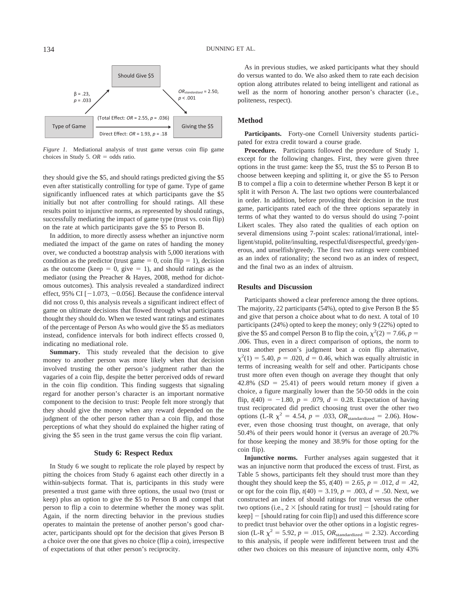

*Figure 1.* Mediational analysis of trust game versus coin flip game choices in Study 5.  $OR =$  odds ratio.

they should give the \$5, and should ratings predicted giving the \$5 even after statistically controlling for type of game. Type of game significantly influenced rates at which participants gave the \$5 initially but not after controlling for should ratings. All these results point to injunctive norms, as represented by should ratings, successfully mediating the impact of game type (trust vs. coin flip) on the rate at which participants gave the \$5 to Person B.

In addition, to more directly assess whether an injunctive norm mediated the impact of the game on rates of handing the money over, we conducted a bootstrap analysis with 5,000 iterations with condition as the predictor (trust game  $= 0$ , coin flip  $= 1$ ), decision as the outcome (keep  $= 0$ , give  $= 1$ ), and should ratings as the mediator (using the Preacher & Hayes, 2008, method for dichotomous outcomes). This analysis revealed a standardized indirect effect, 95% CI  $[-1.073, -0.056]$ . Because the confidence interval did not cross 0, this analysis reveals a significant indirect effect of game on ultimate decisions that flowed through what participants thought they should do. When we tested want ratings and estimates of the percentage of Person As who would give the \$5 as mediators instead, confidence intervals for both indirect effects crossed 0, indicating no mediational role.

**Summary.** This study revealed that the decision to give money to another person was more likely when that decision involved trusting the other person's judgment rather than the vagaries of a coin flip, despite the better perceived odds of reward in the coin flip condition. This finding suggests that signaling regard for another person's character is an important normative component to the decision to trust: People felt more strongly that they should give the money when any reward depended on the judgment of the other person rather than a coin flip, and those perceptions of what they should do explained the higher rating of giving the \$5 seen in the trust game versus the coin flip variant.

## **Study 6: Respect Redux**

In Study 6 we sought to replicate the role played by respect by pitting the choices from Study 6 against each other directly in a within-subjects format. That is, participants in this study were presented a trust game with three options, the usual two (trust or keep) plus an option to give the \$5 to Person B and compel that person to flip a coin to determine whether the money was split. Again, if the norm directing behavior in the previous studies operates to maintain the pretense of another person's good character, participants should opt for the decision that gives Person B a choice over the one that gives no choice (flip a coin), irrespective of expectations of that other person's reciprocity.

As in previous studies, we asked participants what they should do versus wanted to do. We also asked them to rate each decision option along attributes related to being intelligent and rational as well as the norm of honoring another person's character (i.e., politeness, respect).

## **Method**

Participants. Forty-one Cornell University students participated for extra credit toward a course grade.

**Procedure.** Participants followed the procedure of Study 1, except for the following changes. First, they were given three options in the trust game: keep the \$5, trust the \$5 to Person B to choose between keeping and splitting it, or give the \$5 to Person B to compel a flip a coin to determine whether Person B kept it or split it with Person A. The last two options were counterbalanced in order. In addition, before providing their decision in the trust game, participants rated each of the three options separately in terms of what they wanted to do versus should do using 7-point Likert scales. They also rated the qualities of each option on several dimensions using 7-point scales: rational/irrational, intelligent/stupid, polite/insulting, respectful/disrespectful, greedy/generous, and unselfish/greedy. The first two ratings were combined as an index of rationality; the second two as an index of respect, and the final two as an index of altruism.

### **Results and Discussion**

Participants showed a clear preference among the three options. The majority, 22 participants (54%), opted to give Person B the \$5 and give that person a choice about what to do next. A total of 10 participants (24%) opted to keep the money; only 9 (22%) opted to give the \$5 and compel Person B to flip the coin,  $\chi^2(2) = 7.66$ ,  $p =$ .006. Thus, even in a direct comparison of options, the norm to trust another person's judgment beat a coin flip alternative,  $\chi^2(1) = 5.40, p = .020, d = 0.46$ , which was equally altruistic in terms of increasing wealth for self and other. Participants chose trust more often even though on average they thought that only 42.8%  $(SD = 25.41)$  of peers would return money if given a choice, a figure marginally lower than the 50-50 odds in the coin flip,  $t(40) = -1.80$ ,  $p = .079$ ,  $d = 0.28$ . Expectation of having trust reciprocated did predict choosing trust over the other two options (L-R  $\chi^2 = 4.54$ ,  $p = .033$ ,  $OR_{standardized} = 2.06$ ). However, even those choosing trust thought, on average, that only 50.4% of their peers would honor it (versus an average of 20.7% for those keeping the money and 38.9% for those opting for the coin flip).

**Injunctive norms.** Further analyses again suggested that it was an injunctive norm that produced the excess of trust. First, as Table 5 shows, participants felt they should trust more than they thought they should keep the \$5,  $t(40) = 2.65$ ,  $p = .012$ ,  $d = .42$ , or opt for the coin flip,  $t(40) = 3.19$ ,  $p = .003$ ,  $d = .50$ . Next, we constructed an index of should ratings for trust versus the other two options (i.e.,  $2 \times$  [should rating for trust] – [should rating for  $[key]$   $-$  [should rating for coin flip]) and used this difference score to predict trust behavior over the other options in a logistic regression (L-R  $\chi^2$  = 5.92, *p* = .015, *OR*<sub>standardized</sub> = 2.32). According to this analysis, if people were indifferent between trust and the other two choices on this measure of injunctive norm, only 43%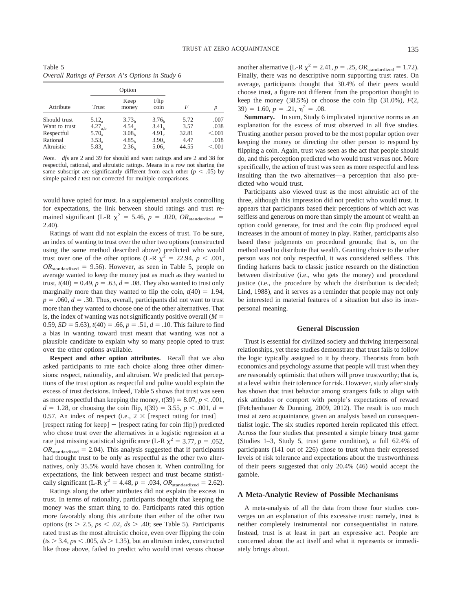Table 5 *Overall Ratings of Person A's Options in Study 6*

|               |                   | Option            |                   |       |         |
|---------------|-------------------|-------------------|-------------------|-------|---------|
| Attribute     | Trust             | Keep<br>money     | Flip<br>coin      | F     | p       |
| Should trust  | 5.12              | 3.73 <sub>b</sub> | 3.76 <sub>b</sub> | 5.72  | .007    |
| Want to trust | $4.27_{a,b}$      | 4.54              | 3.41 <sub>b</sub> | 3.57  | .038    |
| Respectful    | $5.70_{\circ}$    | 3.08 <sub>b</sub> | 4.91 <sub>c</sub> | 32.81 | < 0.001 |
| Rational      | 3.53 <sub>2</sub> | 4.85 <sub>b</sub> | $3.90_{\circ}$    | 4.47  | .018    |
| Altruistic    | 5.83.             | 2.36 <sub>b</sub> | 5.06 <sub>c</sub> | 44.55 | < 0.001 |

*Note*. *df*s are 2 and 39 for should and want ratings and are 2 and 38 for respectful, rational, and altruistic ratings. Means in a row not sharing the same subscript are significantly different from each other ( $p < .05$ ) by simple paired *t* test not corrected for multiple comparisons.

would have opted for trust. In a supplemental analysis controlling for expectations, the link between should ratings and trust remained significant (L-R  $\chi^2$  = 5.46,  $p$  = .020,  $OR_{standardized}$  = 2.40).

Ratings of want did not explain the excess of trust. To be sure, an index of wanting to trust over the other two options (constructed using the same method described above) predicted who would trust over one of the other options (L-R  $\chi^2 = 22.94$ ,  $p < .001$ ,  $OR_{standardized}$  = 9.56). However, as seen in Table 5, people on average wanted to keep the money just as much as they wanted to trust,  $t(40) = 0.49$ ,  $p = .63$ ,  $d = .08$ . They also wanted to trust only marginally more than they wanted to flip the coin,  $t(40) = 1.94$ ,  $p = .060$ ,  $d = .30$ . Thus, overall, participants did not want to trust more than they wanted to choose one of the other alternatives. That is, the index of wanting was not significantly positive overall  $(M =$ 0.59,  $SD = 5.63$ ,  $t(40) = .66$ ,  $p = .51$ ,  $d = .10$ . This failure to find a bias in wanting toward trust meant that wanting was not a plausible candidate to explain why so many people opted to trust over the other options available.

**Respect and other option attributes.** Recall that we also asked participants to rate each choice along three other dimensions: respect, rationality, and altruism. We predicted that perceptions of the trust option as respectful and polite would explain the excess of trust decisions. Indeed, Table 5 shows that trust was seen as more respectful than keeping the money,  $t(39) = 8.07$ ,  $p < .001$ ,  $d = 1.28$ , or choosing the coin flip,  $t(39) = 3.55$ ,  $p < .001$ ,  $d =$ 0.57. An index of respect (i.e.,  $2 \times$  [respect rating for trust] – [respect rating for keep]  $-$  [respect rating for coin flip]) predicted who chose trust over the alternatives in a logistic regression at a rate just missing statistical significance (L-R  $\chi^2 = 3.77$ ,  $p = .052$ ,  $OR<sub>standardized</sub> = 2.04$ . This analysis suggested that if participants had thought trust to be only as respectful as the other two alternatives, only 35.5% would have chosen it. When controlling for expectations, the link between respect and trust became statistically significant (L-R  $\chi^2 = 4.48$ ,  $p = .034$ ,  $OR_{standardized} = 2.62$ ).

Ratings along the other attributes did not explain the excess in trust. In terms of rationality, participants thought that keeping the money was the smart thing to do. Participants rated this option more favorably along this attribute than either of the other two options ( $ts > 2.5$ ,  $ps < .02$ ,  $ds > .40$ ; see Table 5). Participants rated trust as the most altruistic choice, even over flipping the coin  $(ts > 3.4, ps < .005, ds > 1.35)$ , but an altruism index, constructed like those above, failed to predict who would trust versus choose another alternative (L-R  $\chi^2 = 2.41$ ,  $p = .25$ ,  $OR_{standardized} = 1.72$ ). Finally, there was no descriptive norm supporting trust rates. On average, participants thought that 30.4% of their peers would choose trust, a figure not different from the proportion thought to keep the money  $(38.5\%)$  or choose the coin flip  $(31.0\%)$ ,  $F(2, \%)$  $39$ ) = 1.60,  $p = .21$ ,  $\eta^2 = .08$ .

**Summary.** In sum, Study 6 implicated injunctive norms as an explanation for the excess of trust observed in all five studies. Trusting another person proved to be the most popular option over keeping the money or directing the other person to respond by flipping a coin. Again, trust was seen as the act that people should do, and this perception predicted who would trust versus not. More specifically, the action of trust was seen as more respectful and less insulting than the two alternatives—a perception that also predicted who would trust.

Participants also viewed trust as the most altruistic act of the three, although this impression did not predict who would trust. It appears that participants based their perceptions of which act was selfless and generous on more than simply the amount of wealth an option could generate, for trust and the coin flip produced equal increases in the amount of money in play. Rather, participants also based these judgments on procedural grounds; that is, on the method used to distribute that wealth. Granting choice to the other person was not only respectful, it was considered selfless. This finding harkens back to classic justice research on the distinction between distributive (i.e., who gets the money) and procedural justice (i.e., the procedure by which the distribution is decided; Lind, 1988), and it serves as a reminder that people may not only be interested in material features of a situation but also its interpersonal meaning.

## **General Discussion**

Trust is essential for civilized society and thriving interpersonal relationships, yet these studies demonstrate that trust fails to follow the logic typically assigned to it by theory. Theorists from both economics and psychology assume that people will trust when they are reasonably optimistic that others will prove trustworthy; that is, at a level within their tolerance for risk. However, study after study has shown that trust behavior among strangers fails to align with risk attitudes or comport with people's expectations of reward (Fetchenhauer & Dunning, 2009, 2012). The result is too much trust at zero acquaintance, given an analysis based on consequentialist logic. The six studies reported herein replicated this effect. Across the four studies that presented a simple binary trust game (Studies 1–3, Study 5, trust game condition), a full 62.4% of participants (141 out of 226) chose to trust when their expressed levels of risk tolerance and expectations about the trustworthiness of their peers suggested that only 20.4% (46) would accept the gamble.

## **A Meta-Analytic Review of Possible Mechanisms**

A meta-analysis of all the data from those four studies converges on an explanation of this excessive trust: namely, trust is neither completely instrumental nor consequentialist in nature. Instead, trust is at least in part an expressive act. People are concerned about the act itself and what it represents or immediately brings about.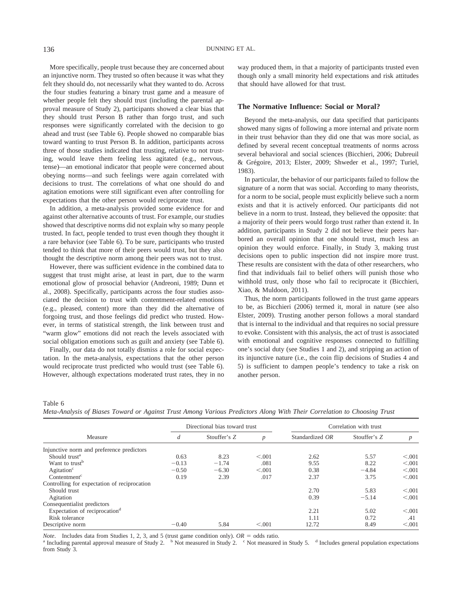More specifically, people trust because they are concerned about an injunctive norm. They trusted so often because it was what they felt they should do, not necessarily what they wanted to do. Across the four studies featuring a binary trust game and a measure of whether people felt they should trust (including the parental approval measure of Study 2), participants showed a clear bias that they should trust Person B rather than forgo trust, and such responses were significantly correlated with the decision to go ahead and trust (see Table 6). People showed no comparable bias toward wanting to trust Person B. In addition, participants across three of those studies indicated that trusting, relative to not trusting, would leave them feeling less agitated (e.g., nervous, tense)—an emotional indicator that people were concerned about obeying norms—and such feelings were again correlated with decisions to trust. The correlations of what one should do and agitation emotions were still significant even after controlling for expectations that the other person would reciprocate trust.

In addition, a meta-analysis provided some evidence for and against other alternative accounts of trust. For example, our studies showed that descriptive norms did not explain why so many people trusted. In fact, people tended to trust even though they thought it a rare behavior (see Table 6). To be sure, participants who trusted tended to think that more of their peers would trust, but they also thought the descriptive norm among their peers was not to trust.

However, there was sufficient evidence in the combined data to suggest that trust might arise, at least in part, due to the warm emotional glow of prosocial behavior (Andreoni, 1989; Dunn et al., 2008). Specifically, participants across the four studies associated the decision to trust with contentment-related emotions (e.g., pleased, content) more than they did the alternative of forgoing trust, and those feelings did predict who trusted. However, in terms of statistical strength, the link between trust and "warm glow" emotions did not reach the levels associated with social obligation emotions such as guilt and anxiety (see Table 6).

Finally, our data do not totally dismiss a role for social expectation. In the meta-analysis, expectations that the other person would reciprocate trust predicted who would trust (see Table 6). However, although expectations moderated trust rates, they in no way produced them, in that a majority of participants trusted even though only a small minority held expectations and risk attitudes that should have allowed for that trust.

## **The Normative Influence: Social or Moral?**

Beyond the meta-analysis, our data specified that participants showed many signs of following a more internal and private norm in their trust behavior than they did one that was more social, as defined by several recent conceptual treatments of norms across several behavioral and social sciences (Bicchieri, 2006; Dubreuil & Grégoire, 2013; Elster, 2009; Shweder et al., 1997; Turiel, 1983).

In particular, the behavior of our participants failed to follow the signature of a norm that was social. According to many theorists, for a norm to be social, people must explicitly believe such a norm exists and that it is actively enforced. Our participants did not believe in a norm to trust. Instead, they believed the opposite: that a majority of their peers would forgo trust rather than extend it. In addition, participants in Study 2 did not believe their peers harbored an overall opinion that one should trust, much less an opinion they would enforce. Finally, in Study 3, making trust decisions open to public inspection did not inspire more trust. These results are consistent with the data of other researchers, who find that individuals fail to belief others will punish those who withhold trust, only those who fail to reciprocate it (Bicchieri, Xiao, & Muldoon, 2011).

Thus, the norm participants followed in the trust game appears to be, as Bicchieri (2006) termed it, moral in nature (see also Elster, 2009). Trusting another person follows a moral standard that is internal to the individual and that requires no social pressure to evoke. Consistent with this analysis, the act of trust is associated with emotional and cognitive responses connected to fulfilling one's social duty (see Studies 1 and 2), and stripping an action of its injunctive nature (i.e., the coin flip decisions of Studies 4 and 5) is sufficient to dampen people's tendency to take a risk on another person.

Table 6

*Meta-Analysis of Biases Toward or Against Trust Among Various Predictors Along With Their Correlation to Choosing Trust*

|                                              | Directional bias toward trust |              |                  | Correlation with trust |              |                  |
|----------------------------------------------|-------------------------------|--------------|------------------|------------------------|--------------|------------------|
| Measure                                      | а                             | Stouffer's Z | $\boldsymbol{p}$ | Standardized OR        | Stouffer's Z | $\boldsymbol{p}$ |
| Injunctive norm and preference predictors    |                               |              |                  |                        |              |                  |
| Should trust <sup>a</sup>                    | 0.63                          | 8.23         | < 0.001          | 2.62                   | 5.57         | < 0.001          |
| Want to trust <sup>b</sup>                   | $-0.13$                       | $-1.74$      | .081             | 9.55                   | 8.22         | < 0.001          |
| Agitation <sup>c</sup>                       | $-0.50$                       | $-6.30$      | < 0.001          | 0.38                   | $-4.84$      | < 0.001          |
| Contentment <sup>c</sup>                     | 0.19                          | 2.39         | .017             | 2.37                   | 3.75         | < 0.001          |
| Controlling for expectation of reciprocation |                               |              |                  |                        |              |                  |
| Should trust                                 |                               |              |                  | 2.70                   | 5.83         | < 0.001          |
| Agitation                                    |                               |              |                  | 0.39                   | $-5.14$      | < 0.001          |
| Consequentialist predictors                  |                               |              |                  |                        |              |                  |
| Expectation of reciprocation <sup>d</sup>    |                               |              |                  | 2.21                   | 5.02         | < 0.001          |
| Risk tolerance                               |                               |              |                  | 1.11                   | 0.72         | .41              |
| Descriptive norm                             | $-0.40$                       | 5.84         | < 0.001          | 12.72                  | 8.49         | < 0.001          |

*Note.* Includes data from Studies 1, 2, 3, and 5 (trust game condition only).  $OR =$  odds ratio.<br><sup>a</sup> Including parental approval measure of Study 2. <sup>b</sup> Not measured in Study 2. <sup>c</sup> Not measured in Study 5. <sup>d</sup> Includes ge from Study 3.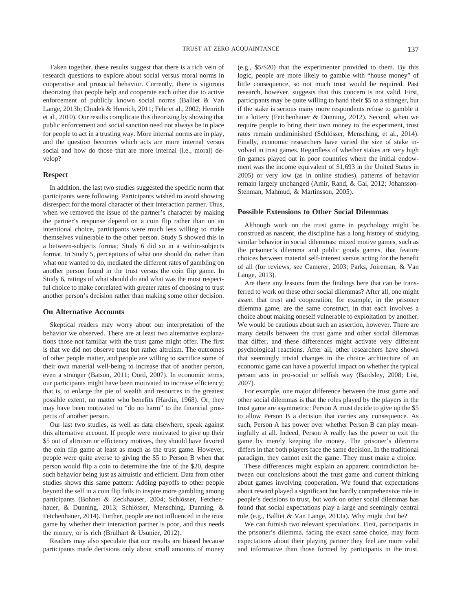Taken together, these results suggest that there is a rich vein of research questions to explore about social versus moral norms in cooperative and prosocial behavior. Currently, there is vigorous theorizing that people help and cooperate each other due to active enforcement of publicly known social norms (Balliet & Van Lange, 2013b; Chudek & Henrich, 2011; Fehr et al., 2002; Henrich et al., 2010). Our results complicate this theorizing by showing that public enforcement and social sanction need not always be in place for people to act in a trusting way. More internal norms are in play, and the question becomes which acts are more internal versus social and how do those that are more internal (i.e., moral) develop?

#### **Respect**

In addition, the last two studies suggested the specific norm that participants were following. Participants wished to avoid showing disrespect for the moral character of their interaction partner. Thus, when we removed the issue of the partner's character by making the partner's response depend on a coin flip rather than on an intentional choice, participants were much less willing to make themselves vulnerable to the other person. Study 5 showed this in a between-subjects format; Study 6 did so in a within-subjects format. In Study 5, perceptions of what one should do, rather than what one wanted to do, mediated the different rates of gambling on another person found in the trust versus the coin flip game. In Study 6, ratings of what should do and what was the most respectful choice to make correlated with greater rates of choosing to trust another person's decision rather than making some other decision.

## **On Alternative Accounts**

Skeptical readers may worry about our interpretation of the behavior we observed. There are at least two alternative explanations those not familiar with the trust game might offer. The first is that we did not observe trust but rather altruism. The outcomes of other people matter, and people are willing to sacrifice some of their own material well-being to increase that of another person, even a stranger (Batson, 2011; Oord, 2007). In economic terms, our participants might have been motivated to increase efficiency; that is, to enlarge the pie of wealth and resources to the greatest possible extent, no matter who benefits (Hardin, 1968). Or, they may have been motivated to "do no harm" to the financial prospects of another person.

Our last two studies, as well as data elsewhere, speak against this alternative account. If people were motivated to give up their \$5 out of altruism or efficiency motives, they should have favored the coin flip game at least as much as the trust game. However, people were quite averse to giving the \$5 to Person B when that person would flip a coin to determine the fate of the \$20, despite such behavior being just as altruistic and efficient. Data from other studies shows this same pattern: Adding payoffs to other people beyond the self in a coin flip fails to inspire more gambling among participants (Bohnet & Zeckhauser, 2004; Schlösser, Fetchenhauer, & Dunning, 2013; Schlösser, Mensching, Dunning, & Fetchenhauer, 2014). Further, people are not influenced in the trust game by whether their interaction partner is poor, and thus needs the money, or is rich (Brülhart & Usunier, 2012).

Readers may also speculate that our results are biased because participants made decisions only about small amounts of money (e.g., \$5/\$20) that the experimenter provided to them. By this logic, people are more likely to gamble with "house money" of little consequence, so not much trust would be required. Past research, however, suggests that this concern is not valid. First, participants may be quite willing to hand their \$5 to a stranger, but if the stake is serious many more respondents refuse to gamble it in a lottery (Fetchenhauer & Dunning, 2012). Second, when we require people to bring their own money to the experiment, trust rates remain undiminished (Schlösser, Mensching, et al., 2014). Finally, economic researchers have varied the size of stake involved in trust games. Regardless of whether stakes are very high (in games played out in poor countries where the initial endowment was the income equivalent of \$1,693 in the United States in 2005) or very low (as in online studies), patterns of behavior remain largely unchanged (Amir, Rand, & Gal, 2012; Johansson-Stenman, Mahmud, & Martinsson, 2005).

#### **Possible Extensions to Other Social Dilemmas**

Although work on the trust game in psychology might be construed as nascent, the discipline has a long history of studying similar behavior in social dilemmas: mixed motive games, such as the prisoner's dilemma and public goods games, that feature choices between material self-interest versus acting for the benefit of all (for reviews, see Camerer, 2003; Parks, Joireman, & Van Lange, 2013).

Are there any lessons from the findings here that can be transferred to work on these other social dilemmas? After all, one might assert that trust and cooperation, for example, in the prisoner dilemma game, are the same construct, in that each involves a choice about making oneself vulnerable to exploitation by another. We would be cautious about such an assertion, however. There are many details between the trust game and other social dilemmas that differ, and these differences might activate very different psychological reactions. After all, other researchers have shown that seemingly trivial changes in the choice architecture of an economic game can have a powerful impact on whether the typical person acts in pro-social or selfish way (Bardsley, 2008; List, 2007).

For example, one major difference between the trust game and other social dilemmas is that the roles played by the players in the trust game are asymmetric: Person A must decide to give up the \$5 to allow Person B a decision that carries any consequence. As such, Person A has power over whether Person B can play meaningfully at all. Indeed, Person A really has the power to exit the game by merely keeping the money. The prisoner's dilemma differs in that both players face the same decision. In the traditional paradigm, they cannot exit the game. They must make a choice.

These differences might explain an apparent contradiction between our conclusions about the trust game and current thinking about games involving cooperation. We found that expectations about reward played a significant but hardly comprehensive role in people's decisions to trust, but work on other social dilemmas has found that social expectations play a large and seemingly central role (e.g., Balliet & Van Lange, 2013a). Why might that be?

We can furnish two relevant speculations. First, participants in the prisoner's dilemma, facing the exact same choice, may form expectations about their playing partner they feel are more valid and informative than those formed by participants in the trust.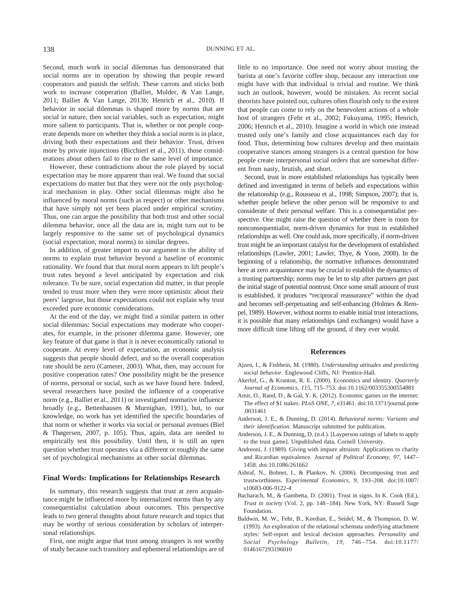Second, much work in social dilemmas has demonstrated that social norms are in operation by showing that people reward cooperators and punish the selfish. These carrots and sticks both work to increase cooperation (Balliet, Mulder, & Van Lange, 2011; Balliet & Van Lange, 2013b; Henrich et al., 2010). If behavior in social dilemmas is shaped more by norms that are social in nature, then social variables, such as expectation, might more salient to participants. That is, whether or not people cooperate depends more on whether they think a social norm is in place, driving both their expectations and their behavior. Trust, driven more by private injunctions (Bicchieri et al., 2011), those considerations about others fail to rise to the same level of importance.

However, these contradictions about the role played by social expectation may be more apparent than real. We found that social expectations do matter but that they were not the only psychological mechanism in play. Other social dilemmas might also be influenced by moral norms (such as respect) or other mechanisms that have simply not yet been placed under empirical scrutiny. Thus, one can argue the possibility that both trust and other social dilemma behavior, once all the data are in, might turn out to be largely responsive to the same set of psychological dynamics (social expectation, moral norms) to similar degrees.

In addition, of greater import to our argument is the ability of norms to explain trust behavior beyond a baseline of economic rationality. We found that that moral norm appears to lift people's trust rates beyond a level anticipated by expectation and risk tolerance. To be sure, social expectation did matter, in that people tended to trust more when they were more optimistic about their peers' largesse, but those expectations could not explain why trust exceeded pure economic considerations.

At the end of the day, we might find a similar pattern in other social dilemmas: Social expectations may moderate who cooperates, for example, in the prisoner dilemma game. However, one key feature of that game is that it is never economically rational to cooperate. At every level of expectation, an economic analysis suggests that people should defect, and so the overall cooperation rate should be zero (Camerer, 2003). What, then, may account for positive cooperation rates? One possibility might be the presence of norms, personal or social, such as we have found here. Indeed, several researchers have posited the influence of a cooperative norm (e.g., Balliet et al., 2011) or investigated normative influence broadly (e.g., Bettenhausen & Murnighan, 1991), but, to our knowledge, no work has yet identified the specific boundaries of that norm or whether it works via social or personal avenues (Biel & Thøgersen, 2007, p. 105). Thus, again, data are needed to empirically test this possibility. Until then, it is still an open question whether trust operates via a different or roughly the same set of psychological mechanisms as other social dilemmas.

## **Final Words: Implications for Relationships Research**

In summary, this research suggests that trust at zero acquaintance might be influenced more by internalized norms than by any consequentialist calculation about outcomes. This perspective leads to two general thoughts about future research and topics that may be worthy of serious consideration by scholars of interpersonal relationships.

First, one might argue that trust among strangers is not worthy of study because such transitory and ephemeral relationships are of little to no importance. One need not worry about trusting the barista at one's favorite coffee shop, because any interaction one might have with that individual is trivial and routine. We think such an outlook, however, would be mistaken. As recent social theorists have pointed out, cultures often flourish only to the extent that people can come to rely on the benevolent actions of a whole host of strangers (Fehr et al., 2002; Fukuyama, 1995; Henrich, 2006; Henrich et al., 2010). Imagine a world in which one instead trusted only one's family and close acquaintances each day for food. Thus, determining how cultures develop and then maintain cooperative stances among strangers is a central question for how people create interpersonal social orders that are somewhat different from nasty, brutish, and short.

Second, trust in more established relationships has typically been defined and investigated in terms of beliefs and expectations within the relationship (e.g., Rousseau et al., 1998; Simpson, 2007); that is, whether people believe the other person will be responsive to and considerate of their personal welfare. This is a consequentialist perspective. One might raise the question of whether there is room for nonconsequentialist, norm-driven dynamics for trust in established relationships as well. One could ask, more specifically, if norm-driven trust might be an important catalyst for the development of established relationships (Lawler, 2001; Lawler, Thye, & Yoon, 2008). In the beginning of a relationship, the normative influences demonstrated here at zero acquaintance may be crucial to establish the dynamics of a trusting partnership; norms may be let to slip after partners get past the initial stage of potential nontrust. Once some small amount of trust is established, it produces "reciprocal reassurance" within the dyad and becomes self-perpetuating and self-enhancing (Holmes & Rempel, 1989). However, without norms to enable initial trust interactions, it is possible that many relationships (and exchanges) would have a more difficult time lifting off the ground, if they ever would.

## **References**

- Ajzen, I., & Fishbein, M. (1980). *Understanding attitudes and predicting social behavior*. Englewood Cliffs, NJ: Prentice-Hall.
- Akerlof, G., & Kranton, R. E. (2000). Economics and identity. *Quarterly Journal of Economics, 115,* 715–753. [doi:10.1162/003355300554881](http://dx.doi.org/10.1162/003355300554881)
- Amir, O., Rand, D., & Gal, Y. K. (2012). Economic games on the internet: The effect of \$1 stakes. *PLoS ONE, 7,* e31461. [doi:10.1371/journal.pone](http://dx.doi.org/10.1371/journal.pone.0031461) [.0031461](http://dx.doi.org/10.1371/journal.pone.0031461)
- Anderson, J. E., & Dunning, D. (2014). *Behavioral norms: Variants and their identification*. Manuscript submitted for publication.
- Anderson, J. E., & Dunning, D. (n.d.). [Layperson ratings of labels to apply to the trust game]. Unpublished data, Cornell University.
- Andreoni, J. (1989). Giving with impure altruism: Applications to charity and Ricardian equivalence. *Journal of Political Economy, 97,* 1447– 1458. [doi:10.1086/261662](http://dx.doi.org/10.1086/261662)
- Ashraf, N., Bohnet, I., & Plankov, N. (2006). Decomposing trust and trustworthiness. *Experimental Economics, 9,* 193–208. [doi:10.1007/](http://dx.doi.org/10.1007/s10683-006-9122-4) [s10683-006-9122-4](http://dx.doi.org/10.1007/s10683-006-9122-4)
- Bacharach, M., & Gambetta, D. (2001). Trust in signs. In K. Cook (Ed.), *Trust in society* (Vol. 2, pp. 148 –184). New York, NY: Russell Sage Foundation.
- Baldwin, M. W., Fehr, B., Keedian, E., Seidel, M., & Thompson, D. W. (1993). An exploration of the relational schemata underlying attachment styles: Self-report and lexical decision approaches. *Personality and Social Psychology Bulletin, 19,* 746 –754. [doi:10.1177/](http://dx.doi.org/10.1177/0146167293196010) [0146167293196010](http://dx.doi.org/10.1177/0146167293196010)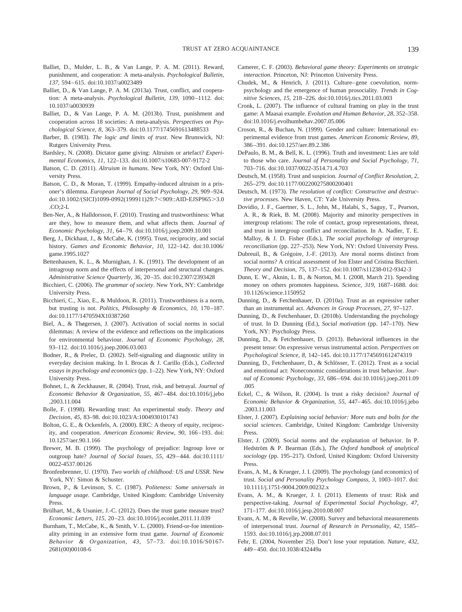- Balliet, D., Mulder, L. B., & Van Lange, P. A. M. (2011). Reward, punishment, and cooperation: A meta-analysis. *Psychological Bulletin, 137,* 594 – 615. [doi:10.1037/a0023489](http://dx.doi.org/10.1037/a0023489)
- Balliet, D., & Van Lange, P. A. M. (2013a). Trust, conflict, and cooperation: A meta-analysis. *Psychological Bulletin, 139, 1090-1112*. [doi:](http://dx.doi.org/10.1037/a0030939) [10.1037/a0030939](http://dx.doi.org/10.1037/a0030939)
- Balliet, D., & Van Lange, P. A. M. (2013b). Trust, punishment and cooperation across 18 societies: A meta-analysis. *Perspectives on Psychological Science, 8,* 363–379. [doi:10.1177/1745691613488533](http://dx.doi.org/10.1177/1745691613488533)
- Barber, B. (1983). *The logic and limits of trust*. New Brunswick, NJ: Rutgers University Press.
- Bardsley, N. (2008). Dictator game giving: Altruism or artefact? *Experimental Economics, 11,* 122–133. [doi:10.1007/s10683-007-9172-2](http://dx.doi.org/10.1007/s10683-007-9172-2)
- Batson, C. D. (2011). *Altruism in humans*. New York, NY: Oxford University Press.
- Batson, C. D., & Moran, T. (1999). Empathy-induced altruism in a prisoner's dilemma. *European Journal of Social Psychology, 29,* 909 –924. [doi:10.1002/\(SICI\)1099-0992\(199911\)29:7](http://dx.doi.org/10.1002/%28SICI%291099-0992%28199911%2929:7%3C909::AID-EJSP965%3E3.0.CO;2-L)<909::AID-EJSP965>3.0 [.CO;2-L](http://dx.doi.org/10.1002/%28SICI%291099-0992%28199911%2929:7%3C909::AID-EJSP965%3E3.0.CO;2-L)
- Ben-Ner, A., & Halldorsson, F. (2010). Trusting and trustworthiness: What are they, how to measure them, and what affects them. *Journal of Economic Psychology, 31,* 64 –79. [doi:10.1016/j.joep.2009.10.001](http://dx.doi.org/10.1016/j.joep.2009.10.001)
- Berg, J., Dickhaut, J., & McCabe, K. (1995). Trust, reciprocity, and social history. *Games and Economic Behavior, 10,* 122–142. [doi:10.1006/](http://dx.doi.org/10.1006/game.1995.1027) [game.1995.1027](http://dx.doi.org/10.1006/game.1995.1027)
- Bettenhausen, K. L., & Murnighan, J. K. (1991). The development of an intragroup norm and the effects of interpersonal and structural changes. *Administrative Science Quarterly, 36,* 20 –35. [doi:10.2307/2393428](http://dx.doi.org/10.2307/2393428)
- Bicchieri, C. (2006). *The grammar of society*. New York, NY: Cambridge University Press.
- Bicchieri, C., Xiao, E., & Muldoon, R. (2011). Trustworthiness is a norm, but trusting is not. *Politics, Philosophy & Economics, 10,* 170-187. [doi:10.1177/1470594X10387260](http://dx.doi.org/10.1177/1470594X10387260)
- Biel, A., & Thøgersen, J. (2007). Activation of social norms in social dilemmas: A review of the evidence and reflections on the implications for environmental behaviour. *Journal of Economic Psychology, 28,* 93–112. [doi:10.1016/j.joep.2006.03.003](http://dx.doi.org/10.1016/j.joep.2006.03.003)
- Bodner, R., & Prelec, D. (2002). Self-signaling and diagnostic utility in everyday decision making. In I. Brocas & J. Carillo (Eds.), *Collected essays in psychology and economics* (pp. 1–22). New York, NY: Oxford University Press.
- Bohnet, I., & Zeckhauser, R. (2004). Trust, risk, and betrayal. *Journal of Economic Behavior & Organization, 55,* 467– 484. [doi:10.1016/j.jebo](http://dx.doi.org/10.1016/j.jebo.2003.11.004) [.2003.11.004](http://dx.doi.org/10.1016/j.jebo.2003.11.004)
- Bolle, F. (1998). Rewarding trust: An experimental study. *Theory and Decision, 45,* 83–98. [doi:10.1023/A:1004930101743](http://dx.doi.org/10.1023/A:1004930101743)
- Bolton, G. E., & Ockenfels, A. (2000). ERC: A theory of equity, reciprocity, and cooperation. *American Economic Review*, 90, 166-193. [doi:](http://dx.doi.org/10.1257/aer.90.1.166) [10.1257/aer.90.1.166](http://dx.doi.org/10.1257/aer.90.1.166)
- Brewer, M. B. (1999). The psychology of prejudice: Ingroup love or outgroup hate? *Journal of Social Issues, 55,* 429 – 444. [doi:10.1111/](http://dx.doi.org/10.1111/0022-4537.00126) [0022-4537.00126](http://dx.doi.org/10.1111/0022-4537.00126)
- Bronfenbrenner, U. (1970). *Two worlds of childhood: US and USSR*. New York, NY: Simon & Schuster.
- Brown, P., & Levinson, S. C. (1987). *Politeness: Some universals in language usage*. Cambridge, United Kingdom: Cambridge University Press.
- Brülhart, M., & Usunier, J.-C. (2012). Does the trust game measure trust? *Economic Letters, 115,* 20 –23. [doi:10.1016/j.econlet.2011.11.039](http://dx.doi.org/10.1016/j.econlet.2011.11.039)
- Burnham, T., McCabe, K., & Smith, V. L. (2000). Friend-or-foe intentionality priming in an extensive form trust game. *Journal of Economic Behavior & Organization, 43,* 57–73. [doi:10.1016/S0167-](http://dx.doi.org/10.1016/S0167-2681%2800%2900108-6) [2681\(00\)00108-6](http://dx.doi.org/10.1016/S0167-2681%2800%2900108-6)
- Camerer, C. F. (2003). *Behavioral game theory: Experiments on strategic interaction*. Princeton, NJ: Princeton University Press.
- Chudek, M., & Henrich, J. (2011). Culture– gene coevolution, normpsychology and the emergence of human prosociality. *Trends in Cognitive Sciences, 15,* 218 –226. [doi:10.1016/j.tics.2011.03.003](http://dx.doi.org/10.1016/j.tics.2011.03.003)
- Cronk, L. (2007). The influence of cultural framing on play in the trust game: A Maasai example. *Evolution and Human Behavior, 28,* 352–358. [doi:10.1016/j.evolhumbehav.2007.05.006](http://dx.doi.org/10.1016/j.evolhumbehav.2007.05.006)
- Croson, R., & Buchan, N. (1999). Gender and culture: International experimental evidence from trust games. *American Economic Review, 89,* 386 –391. [doi:10.1257/aer.89.2.386](http://dx.doi.org/10.1257/aer.89.2.386)
- DePaulo, B. M., & Bell, K. L. (1996). Truth and investment: Lies are told to those who care. *Journal of Personality and Social Psychology, 71,* 703–716. [doi:10.1037/0022-3514.71.4.703](http://dx.doi.org/10.1037/0022-3514.71.4.703)
- Deutsch, M. (1958). Trust and suspicion. *Journal of Conflict Resolution, 2,* 265–279. [doi:10.1177/002200275800200401](http://dx.doi.org/10.1177/002200275800200401)
- Deutsch, M. (1973). *The resolution of conflict: Constructive and destructive processes*. New Haven, CT: Yale University Press.
- Dovidio, J. F., Gaertner, S. L., John, M., Halabi, S., Saguy, T., Pearson, A. R., & Riek, B. M. (2008). Majority and minority perspectives in intergroup relations: The role of contact, group representations, threat, and trust in intergroup conflict and reconciliation. In A. Nadler, T. E. Malloy, & J. D. Fisher (Eds.), *The social psychology of intergroup reconciliation* (pp. 227–253). New York, NY: Oxford University Press.
- Dubreuil, B., & Grégoire, J.-F. (2013). Are moral norms distinct from social norms? A critical assessment of Jon Elster and Cristina Bicchieri. *Theory and Decision, 75,* 137–152. [doi:10.1007/s11238-012-9342-3](http://dx.doi.org/10.1007/s11238-012-9342-3)
- Dunn, E. W., Aknin, L. B., & Norton, M. I. (2008, March 21). Spending money on others promotes happiness. *Science, 319,* 1687–1688. [doi:](http://dx.doi.org/10.1126/science.1150952) [10.1126/science.1150952](http://dx.doi.org/10.1126/science.1150952)
- Dunning, D., & Fetchenhauer, D. (2010a). Trust as an expressive rather than an instrumental act. *Advances in Group Processes, 27,* 97–127.
- Dunning, D., & Fetchenhauer, D. (2010b). Understanding the psychology of trust. In D. Dunning (Ed.), *Social motivation* (pp. 147–170). New York, NY: Psychology Press.
- Dunning, D., & Fetchenhauer, D. (2013). Behavioral influences in the present tense: On expressive versus instrumental action. *Perspectives on Psychological Science, 8,* 142–145. [doi:10.1177/1745691612474319](http://dx.doi.org/10.1177/1745691612474319)
- Dunning, D., Fetchenhauer, D., & Schlösser, T. (2012). Trust as a social and emotional act: Noneconomic considerations in trust behavior. *Journal of Economic Psychology, 33,* 686 – 694. [doi:10.1016/j.joep.2011.09](http://dx.doi.org/10.1016/j.joep.2011.09.005) [.005](http://dx.doi.org/10.1016/j.joep.2011.09.005)
- Eckel, C., & Wilson, R. (2004). Is trust a risky decision? *Journal of Economic Behavior & Organization, 55,* 447– 465. [doi:10.1016/j.jebo](http://dx.doi.org/10.1016/j.jebo.2003.11.003) [.2003.11.003](http://dx.doi.org/10.1016/j.jebo.2003.11.003)
- Elster, J. (2007). *Explaining social behavior: More nuts and bolts for the social sciences*. Cambridge, United Kingdom: Cambridge University Press.
- Elster, J. (2009). Social norms and the explanation of behavior. In P. Hedström & P. Bearman (Eds.), *The Oxford handbook of analytical sociology* (pp. 195–217). Oxford, United Kingdom: Oxford University Press.
- Evans, A. M., & Krueger, J. I. (2009). The psychology (and economics) of trust. *Social and Personality Psychology Compass, 3,* 1003–1017. [doi:](http://dx.doi.org/10.1111/j.1751-9004.2009.00232.x) [10.1111/j.1751-9004.2009.00232.x](http://dx.doi.org/10.1111/j.1751-9004.2009.00232.x)
- Evans, A. M., & Krueger, J. I. (2011). Elements of trust: Risk and perspective-taking. *Journal of Experimental Social Psychology, 47,* 171–177. [doi:10.1016/j.jesp.2010.08.007](http://dx.doi.org/10.1016/j.jesp.2010.08.007)
- Evans, A. M., & Revelle, W. (2008). Survey and behavioral measurements of interpersonal trust. *Journal of Research in Personality, 42,* 1585– 1593. [doi:10.1016/j.jrp.2008.07.011](http://dx.doi.org/10.1016/j.jrp.2008.07.011)
- Fehr, E. (2004, November 25). Don't lose your reputation. *Nature, 432,* 449 – 450. [doi:10.1038/432449a](http://dx.doi.org/10.1038/432449a)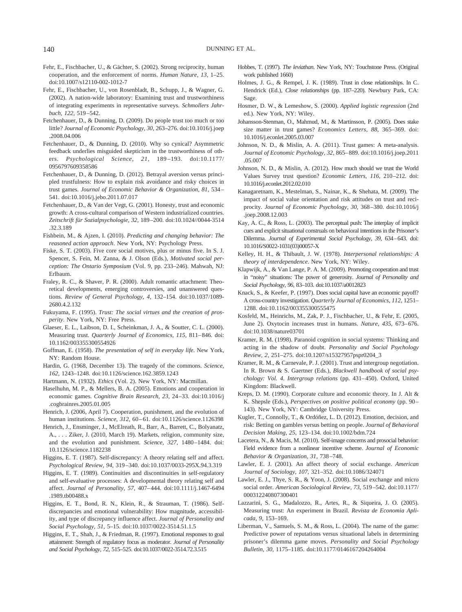- Fehr, E., Fischbacher, U., & Gächter, S. (2002). Strong reciprocity, human cooperation, and the enforcement of norms. *Human Nature, 13,* 1–25. [doi:10.1007/s12110-002-1012-7](http://dx.doi.org/10.1007/s12110-002-1012-7)
- Fehr, E., Fischbacher, U., von Rosenbladt, B., Schupp, J., & Wagner, G. (2002). A nation-wide laboratory: Examining trust and trustworthiness of integrating experiments in representative surveys. *Schmollers Jahrbuch, 122,* 519 –542.
- Fetchenhauer, D., & Dunning, D. (2009). Do people trust too much or too little? *Journal of Economic Psychology, 30,* 263–276. [doi:10.1016/j.joep](http://dx.doi.org/10.1016/j.joep.2008.04.006) [.2008.04.006](http://dx.doi.org/10.1016/j.joep.2008.04.006)
- Fetchenhauer, D., & Dunning, D. (2010). Why so cynical? Asymmetric feedback underlies misguided skepticism in the trustworthiness of others. *Psychological Science, 21,* 189 –193. [doi:10.1177/](http://dx.doi.org/10.1177/0956797609358586) [0956797609358586](http://dx.doi.org/10.1177/0956797609358586)
- Fetchenhauer, D., & Dunning, D. (2012). Betrayal aversion versus principled trustfulness: How to explain risk avoidance and risky choices in trust games. *Journal of Economic Behavior & Organization, 81,* 534 – 541. [doi:10.1016/j.jebo.2011.07.017](http://dx.doi.org/10.1016/j.jebo.2011.07.017)
- Fetchenhauer, D., & Van der Vegt, G. (2001). Honesty, trust and economic growth: A cross-cultural comparison of Western industrialized countries. *Zeitschrift für Sozialpsychologie, 32,* 189 –200. [doi:10.1024//0044-3514](http://dx.doi.org/10.1024//0044-3514.32.3.189) [.32.3.189](http://dx.doi.org/10.1024//0044-3514.32.3.189)
- Fishbein, M., & Ajzen, I. (2010). *Predicting and changing behavior: The reasoned action approach*. New York, NY: Psychology Press.
- Fiske, S. T. (2003). Five core social motives, plus or minus five. In S. J. Spencer, S. Fein, M. Zanna, & J. Olson (Eds.), *Motivated social perception: The Ontario Symposium* (Vol. 9, pp. 233–246). Mahwah, NJ: Erlbaum.
- Fraley, R. C., & Shaver, P. R. (2000). Adult romantic attachment: Theoretical developments, emerging controversies, and unanswered questions. *Review of General Psychology, 4,* 132–154. [doi:10.1037/1089-](http://dx.doi.org/10.1037/1089-2680.4.2.132) [2680.4.2.132](http://dx.doi.org/10.1037/1089-2680.4.2.132)
- Fukuyama, F. (1995). *Trust: The social virtues and the creation of prosperity*. New York, NY: Free Press.
- Glaeser, E. L., Laibson, D. I., Scheinkman, J. A., & Soutter, C. L. (2000). Measuring trust. *Quarterly Journal of Economics, 115,* 811– 846. [doi:](http://dx.doi.org/10.1162/003355300554926) [10.1162/003355300554926](http://dx.doi.org/10.1162/003355300554926)
- Goffman, E. (1958). *The presentation of self in everyday life*. New York, NY: Random House.
- Hardin, G. (1968, December 13). The tragedy of the commons. *Science, 162,* 1243–1248. [doi:10.1126/science.162.3859.1243](http://dx.doi.org/10.1126/science.162.3859.1243)
- Hartmann, N. (1932). *Ethics* (Vol. 2). New York, NY: Macmillan.
- Haselhuhn, M. P., & Mellers, B. A. (2005). Emotions and cooperation in economic games. *Cognitive Brain Research, 23,* 24 –33. [doi:10.1016/j](http://dx.doi.org/10.1016/j.cogbrainres.2005.01.005) [.cogbrainres.2005.01.005](http://dx.doi.org/10.1016/j.cogbrainres.2005.01.005)
- Henrich, J. (2006, April 7). Cooperation, punishment, and the evolution of human institutions. *Science, 312,* 60 – 61. [doi:10.1126/science.1126398](http://dx.doi.org/10.1126/science.1126398)
- Henrich, J., Ensminger, J., McElreath, R., Barr, A., Barrett, C., Bolyanatz, A., . . . Ziker, J. (2010, March 19). Markets, religion, community size, and the evolution and punishment. *Science*, 327, 1480-1484. [doi:](http://dx.doi.org/10.1126/science.1182238) [10.1126/science.1182238](http://dx.doi.org/10.1126/science.1182238)
- Higgins, E. T. (1987). Self-discrepancy: A theory relating self and affect. *Psychological Review, 94,* 319 –340. [doi:10.1037/0033-295X.94.3.319](http://dx.doi.org/10.1037/0033-295X.94.3.319)
- Higgins, E. T. (1989). Continuities and discontinuities in self-regulatory and self-evaluative processes: A developmental theory relating self and affect. *Journal of Personality, 57,* 407– 444. [doi:10.1111/j.1467-6494](http://dx.doi.org/10.1111/j.1467-6494.1989.tb00488.x) [.1989.tb00488.x](http://dx.doi.org/10.1111/j.1467-6494.1989.tb00488.x)
- Higgins, E. T., Bond, R. N., Klein, R., & Strauman, T. (1986). Selfdiscrepancies and emotional vulnerability: How magnitude, accessibility, and type of discrepancy influence affect. *Journal of Personality and Social Psychology, 51,* 5–15. [doi:10.1037/0022-3514.51.1.5](http://dx.doi.org/10.1037/0022-3514.51.1.5)
- Higgins, E. T., Shah, J., & Friedman, R. (1997). Emotional responses to goal attainment: Strength of regulatory focus as moderator. *Journal of Personality and Social Psychology, 72,* 515–525. [doi:10.1037/0022-3514.72.3.515](http://dx.doi.org/10.1037/0022-3514.72.3.515)
- Hobbes, T. (1997). *The leviathan*. New York, NY: Touchstone Press. (Original work published 1660)
- Holmes, J. G., & Rempel, J. K. (1989). Trust in close relationships. In C. Hendrick (Ed.), *Close relationships* (pp. 187–220). Newbury Park, CA: Sage.
- Hosmer, D. W., & Lemeshow, S. (2000). *Applied logistic regression* (2nd ed.). New York, NY: Wiley.
- Johansson-Stenman, O., Mahmud, M., & Martinsson, P. (2005). Does stake size matter in trust games? *Economics Letters, 88,* 365–369. [doi:](http://dx.doi.org/10.1016/j.econlet.2005.03.007) [10.1016/j.econlet.2005.03.007](http://dx.doi.org/10.1016/j.econlet.2005.03.007)
- Johnson, N. D., & Mislin, A. A. (2011). Trust games: A meta-analysis. *Journal of Economic Psychology, 32,* 865– 889. [doi:10.1016/j.joep.2011](http://dx.doi.org/10.1016/j.joep.2011.05.007) [.05.007](http://dx.doi.org/10.1016/j.joep.2011.05.007)
- Johnson, N. D., & Mislin, A. (2012). How much should we trust the World Values Survey trust question? *Economic Letters, 116, 210-212*. [doi:](http://dx.doi.org/10.1016/j.econlet.2012.02.010) [10.1016/j.econlet.2012.02.010](http://dx.doi.org/10.1016/j.econlet.2012.02.010)
- Kanagaretnam, K., Mestelman, S., Nainar, K., & Shehata, M. (2009). The impact of social value orientation and risk attitudes on trust and reciprocity. *Journal of Economic Psychology, 30,* 368 –380. [doi:10.1016/j](http://dx.doi.org/10.1016/j.joep.2008.12.003) [.joep.2008.12.003](http://dx.doi.org/10.1016/j.joep.2008.12.003)
- Kay, A. C., & Ross, L. (2003). The perceptual push: The interplay of implicit cues and explicit situational construals on behavioral intentions in the Prisoner's Dilemma. *Journal of Experimental Social Psychology, 39,* 634–643. [doi:](http://dx.doi.org/10.1016/S0022-1031%2803%2900057-X) [10.1016/S0022-1031\(03\)00057-X](http://dx.doi.org/10.1016/S0022-1031%2803%2900057-X)
- Kelley, H. H., & Thibault, J. W. (1978). *Interpersonal relationships: A theory of interdependence*. New York, NY: Wiley.
- Klapwijk, A., & Van Lange, P. A. M. (2009). Promoting cooperation and trust in "noisy" situations: The power of generosity. *Journal of Personality and Social Psychology, 96,* 83–103. [doi:10.1037/a0012823](http://dx.doi.org/10.1037/a0012823)
- Knack, S., & Keefer, P. (1997). Does social capital have an economic payoff? A cross-country investigation. *Quarterly Journal of Economics, 112,* 1251– 1288. [doi:10.1162/003355300555475](http://dx.doi.org/10.1162/003355300555475)
- Kosfeld, M., Heinrichs, M., Zak, P. J., Fischbacher, U., & Fehr, E. (2005, June 2). Oxytocin increases trust in humans. *Nature, 435,* 673– 676. [doi:10.1038/nature03701](http://dx.doi.org/10.1038/nature03701)
- Kramer, R. M. (1998). Paranoid cognition in social systems: Thinking and acting in the shadow of doubt. *Personality and Social Psychology Review, 2,* 251–275. [doi:10.1207/s15327957pspr0204\\_3](http://dx.doi.org/10.1207/s15327957pspr0204_3)
- Kramer, R. M., & Carnevale, P. J. (2001). Trust and intergroup negotiation. In R. Brown & S. Gaertner (Eds.), *Blackwell handbook of social psychology: Vol. 4*. *Intergroup relations* (pp. 431– 450). Oxford, United Kingdom: Blackwell.
- Kreps, D. M. (1990). Corporate culture and economic theory. In J. Alt & K. Shepsle (Eds.), *Perspectives on positive political economy* (pp. 90– 143). New York, NY: Cambridge University Press.
- Kugler, T., Connolly, T., & Ordóñez, L. D. (2012). Emotion, decision, and risk: Betting on gambles versus betting on people. *Journal of Behavioral Decision Making, 25,* 123–134. [doi:10.1002/bdm.724](http://dx.doi.org/10.1002/bdm.724)
- Lacetera, N., & Macis, M. (2010). Self-image concerns and prosocial behavior: Field evidence from a nonlinear incentive scheme. *Journal of Economic Behavior & Organization, 31,* 738 –748.
- Lawler, E. J. (2001). An affect theory of social exchange. *American Journal of Sociology, 107,* 321–352. [doi:10.1086/324071](http://dx.doi.org/10.1086/324071)
- Lawler, E. J., Thye, S. R., & Yoon, J. (2008). Social exchange and micro social order. *American Sociological Review, 73,* 519 –542. [doi:10.1177/](http://dx.doi.org/10.1177/000312240807300401) [000312240807300401](http://dx.doi.org/10.1177/000312240807300401)
- Lazzarini, S. G., Madalozzo, R., Artes, R., & Siqueira, J. O. (2005). Measuring trust: An experiment in Brazil. *Revista de Economia Aplicada, 9,* 153–169.
- Liberman, V., Samuels, S. M., & Ross, L. (2004). The name of the game: Predictive power of reputations versus situational labels in determining prisoner's dilemma game moves. *Personality and Social Psychology Bulletin, 30,* 1175–1185. [doi:10.1177/0146167204264004](http://dx.doi.org/10.1177/0146167204264004)